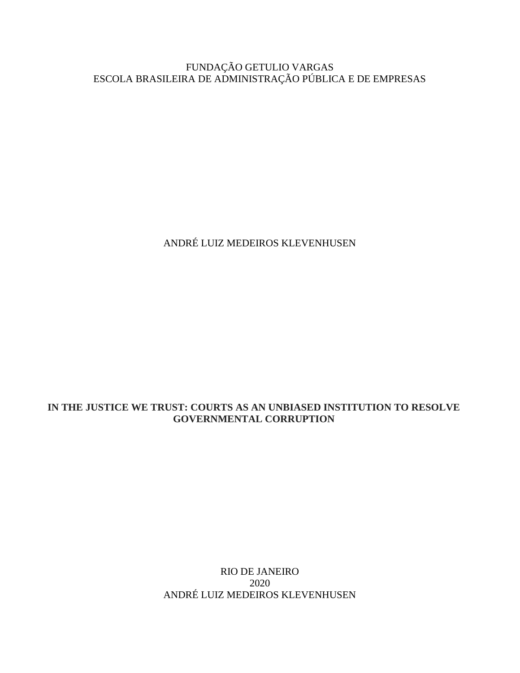#### FUNDAÇÃO GETULIO VARGAS ESCOLA BRASILEIRA DE ADMINISTRAÇÃO PÚBLICA E DE EMPRESAS

ANDRÉ LUIZ MEDEIROS KLEVENHUSEN

#### **IN THE JUSTICE WE TRUST: COURTS AS AN UNBIASED INSTITUTION TO RESOLVE GOVERNMENTAL CORRUPTION**

RIO DE JANEIRO 2020 ANDRÉ LUIZ MEDEIROS KLEVENHUSEN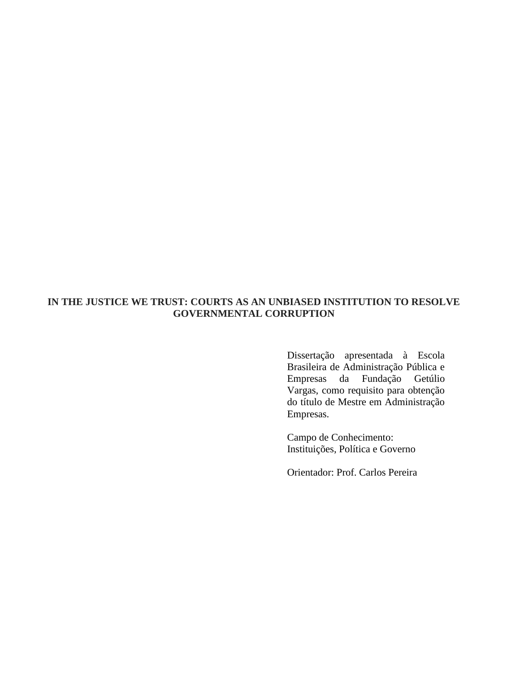### **IN THE JUSTICE WE TRUST: COURTS AS AN UNBIASED INSTITUTION TO RESOLVE GOVERNMENTAL CORRUPTION**

Dissertação apresentada à Escola Brasileira de Administração Pública e Empresas da Fundação Getúlio Vargas, como requisito para obtenção do título de Mestre em Administração Empresas.

Campo de Conhecimento: Instituições, Política e Governo

Orientador: Prof. Carlos Pereira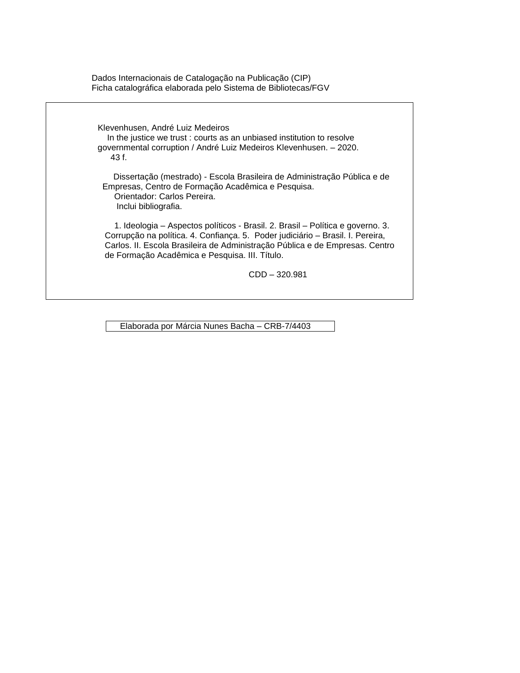Dados Internacionais de Catalogação na Publicação (CIP) Ficha catalográfica elaborada pelo Sistema de Bibliotecas/FGV

 Klevenhusen, André Luiz Medeiros In the justice we trust : courts as an unbiased institution to resolve governmental corruption / André Luiz Medeiros Klevenhusen. – 2020. 43 f. Dissertação (mestrado) - Escola Brasileira de Administração Pública e de Empresas, Centro de Formação Acadêmica e Pesquisa. Orientador: Carlos Pereira. Inclui bibliografia. 1. Ideologia – Aspectos políticos - Brasil. 2. Brasil – Política e governo. 3. Corrupção na política. 4. Confiança. 5. Poder judiciário – Brasil. I. Pereira, Carlos. II. Escola Brasileira de Administração Pública e de Empresas. Centro de Formação Acadêmica e Pesquisa. III. Título.

CDD – 320.981

Elaborada por Márcia Nunes Bacha – CRB-7/4403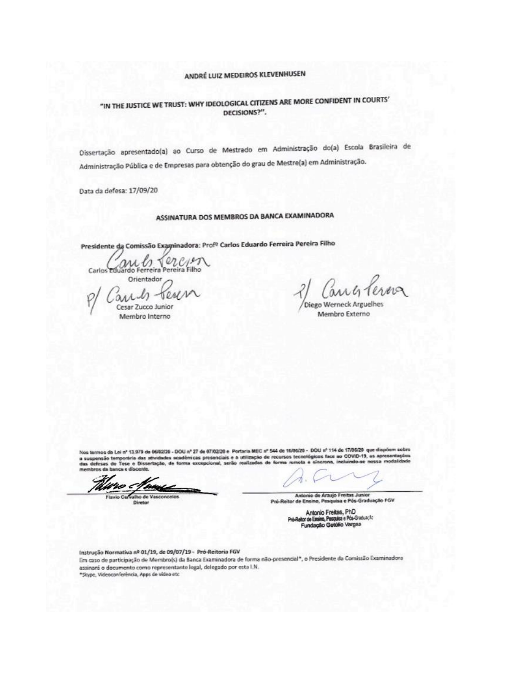### ANDRÉ LUIZ MEDEIROS KLEVENHUSEN

### "IN THE JUSTICE WE TRUST: WHY IDEOLOGICAL CITIZENS ARE MORE CONFIDENT IN COURTS' DECISIONS?".

Dissertação apresentado(a) ao Curso de Mestrado em Administração do(a) Escola Brasileira de Administração Pública e de Empresas para obtenção do grau de Mestre(a) em Administração.

Data da defesa: 17/09/20

## ASSINATURA DOS MEMBROS DA BANCA EXAMINADORA

Presidente da Comissão Examinadora: Prof<sup>o</sup> Carlos Eduardo Ferreira Pereira Filho

Carlos Eduardo Ferreira Pereira Filho Orientador

and tere Cesar Zucco Junior Membro Interno

whterma

Diego Werneck Arguelhes Membro Externo

Nos termos de Lei nº 13.979 de 06/02/20 - DOU nº 27 de 97/02/29 e Portaria MEC nº 544 de 16/06/29 - DOU nº 114 de 17/06/29 que dispósm sobre ades acadêmicas presenciais e a utilização de recursos tecnológicos face ao COVID-19, as apresentações<br>lo, de forma excepcional, serão realizadas de forma remota e sincrona, incluindo-se nessa modalidade a suspensão temporária das ativida de Tose e Dissertação, de fo

Antonio de Araujo Freitas Junior Pró-Reitor de Ensino, Pesquisa e Pós-Gradua spile FGV

> Antonio Freitas, PhD<br>Iltor de Ensino, Pasquisa e Pós-Graduação<br>Fundação Getúlio Vargas Pri

Instrução Normativa nº 01/19, de 09/07/19 - Pró-Reitoria FGV Em caso de participação de Membro(s) da Banca Examinadora de forma não-presencial\*, o Presidente da Comissão Examinadora assinará o documento como representante legal, delegado por esta I.N. \*Skype, Videoconferência, Apps de video etc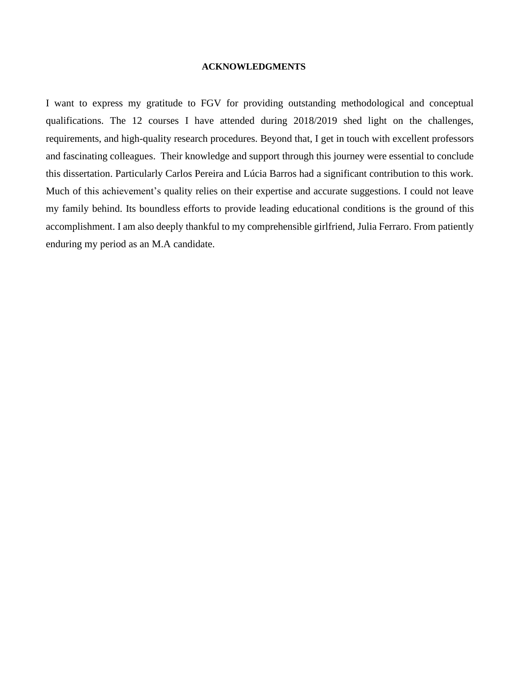#### **ACKNOWLEDGMENTS**

I want to express my gratitude to FGV for providing outstanding methodological and conceptual qualifications. The 12 courses I have attended during 2018/2019 shed light on the challenges, requirements, and high-quality research procedures. Beyond that, I get in touch with excellent professors and fascinating colleagues. Their knowledge and support through this journey were essential to conclude this dissertation. Particularly Carlos Pereira and Lúcia Barros had a significant contribution to this work. Much of this achievement's quality relies on their expertise and accurate suggestions. I could not leave my family behind. Its boundless efforts to provide leading educational conditions is the ground of this accomplishment. I am also deeply thankful to my comprehensible girlfriend, Julia Ferraro. From patiently enduring my period as an M.A candidate.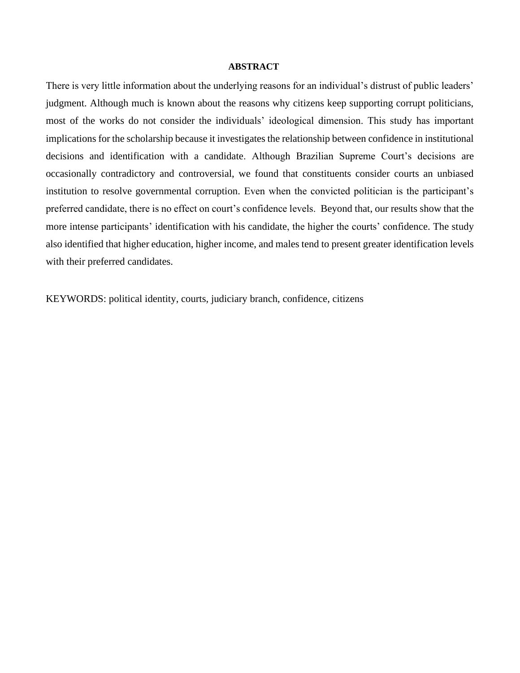#### **ABSTRACT**

There is very little information about the underlying reasons for an individual's distrust of public leaders' judgment. Although much is known about the reasons why citizens keep supporting corrupt politicians, most of the works do not consider the individuals' ideological dimension. This study has important implications for the scholarship because it investigates the relationship between confidence in institutional decisions and identification with a candidate. Although Brazilian Supreme Court's decisions are occasionally contradictory and controversial, we found that constituents consider courts an unbiased institution to resolve governmental corruption. Even when the convicted politician is the participant's preferred candidate, there is no effect on court's confidence levels. Beyond that, our results show that the more intense participants' identification with his candidate, the higher the courts' confidence. The study also identified that higher education, higher income, and males tend to present greater identification levels with their preferred candidates.

KEYWORDS: political identity, courts, judiciary branch, confidence, citizens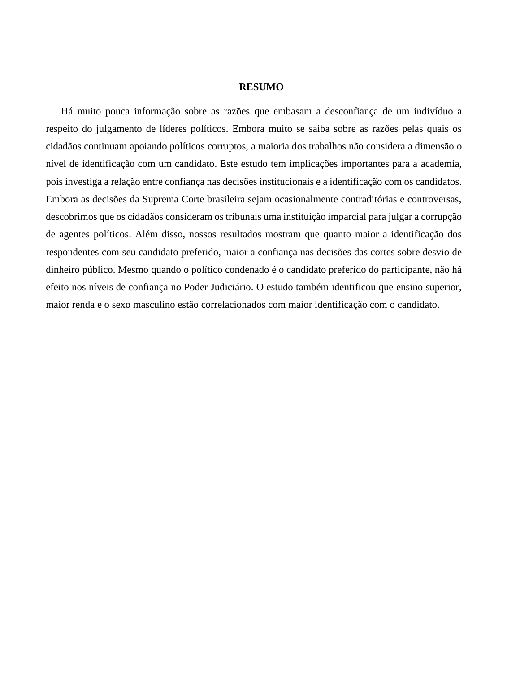#### **RESUMO**

Há muito pouca informação sobre as razões que embasam a desconfiança de um indivíduo a respeito do julgamento de líderes políticos. Embora muito se saiba sobre as razões pelas quais os cidadãos continuam apoiando políticos corruptos, a maioria dos trabalhos não considera a dimensão o nível de identificação com um candidato. Este estudo tem implicações importantes para a academia, pois investiga a relação entre confiança nas decisões institucionais e a identificação com os candidatos. Embora as decisões da Suprema Corte brasileira sejam ocasionalmente contraditórias e controversas, descobrimos que os cidadãos consideram os tribunais uma instituição imparcial para julgar a corrupção de agentes políticos. Além disso, nossos resultados mostram que quanto maior a identificação dos respondentes com seu candidato preferido, maior a confiança nas decisões das cortes sobre desvio de dinheiro público. Mesmo quando o político condenado é o candidato preferido do participante, não há efeito nos níveis de confiança no Poder Judiciário. O estudo também identificou que ensino superior, maior renda e o sexo masculino estão correlacionados com maior identificação com o candidato.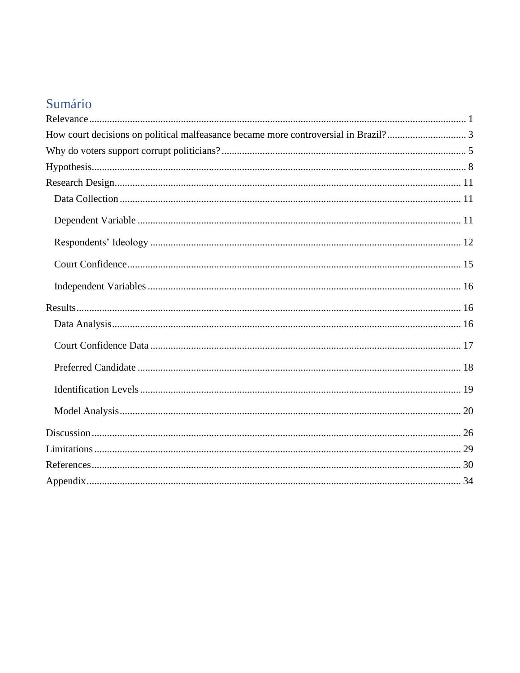# Sumário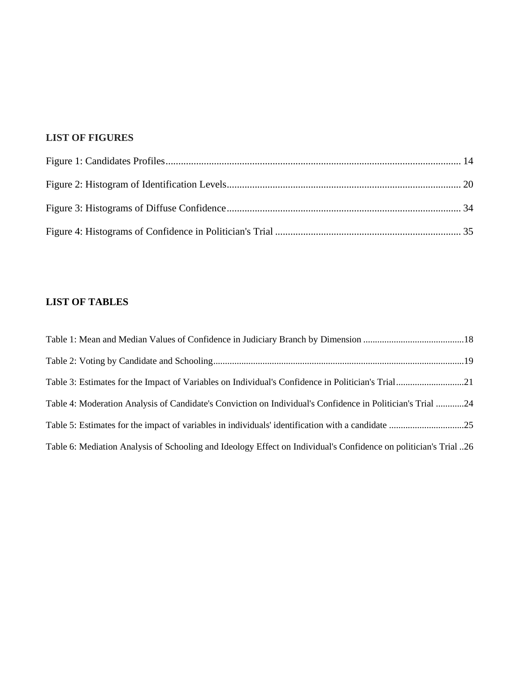## **LIST OF FIGURES**

## **LIST OF TABLES**

| Table 4: Moderation Analysis of Candidate's Conviction on Individual's Confidence in Politician's Trial 24        |  |
|-------------------------------------------------------------------------------------------------------------------|--|
|                                                                                                                   |  |
| 26 Table 6: Mediation Analysis of Schooling and Ideology Effect on Individual's Confidence on politician's Trial. |  |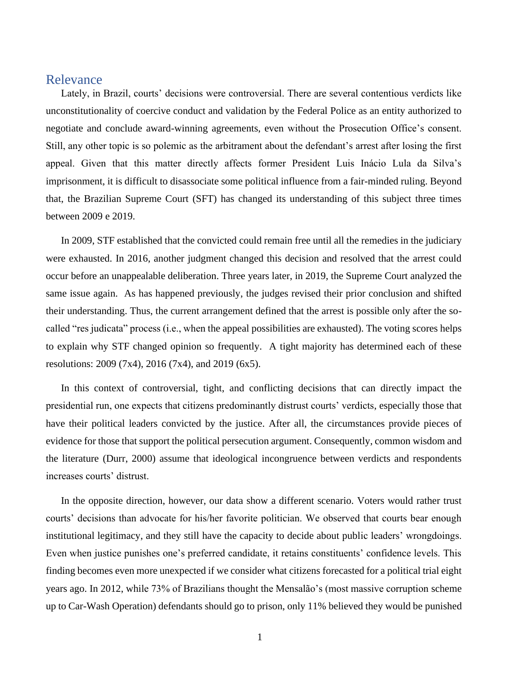## <span id="page-9-0"></span>Relevance

Lately, in Brazil, courts' decisions were controversial. There are several contentious verdicts like unconstitutionality of coercive conduct and validation by the Federal Police as an entity authorized to negotiate and conclude award-winning agreements, even without the Prosecution Office's consent. Still, any other topic is so polemic as the arbitrament about the defendant's arrest after losing the first appeal. Given that this matter directly affects former President Luis Inácio Lula da Silva's imprisonment, it is difficult to disassociate some political influence from a fair-minded ruling. Beyond that, the Brazilian Supreme Court (SFT) has changed its understanding of this subject three times between 2009 e 2019.

In 2009, STF established that the convicted could remain free until all the remedies in the judiciary were exhausted. In 2016, another judgment changed this decision and resolved that the arrest could occur before an unappealable deliberation. Three years later, in 2019, the Supreme Court analyzed the same issue again. As has happened previously, the judges revised their prior conclusion and shifted their understanding. Thus, the current arrangement defined that the arrest is possible only after the socalled "res judicata" process (i.e., when the appeal possibilities are exhausted). The voting scores helps to explain why STF changed opinion so frequently. A tight majority has determined each of these resolutions: 2009 (7x4), 2016 (7x4), and 2019 (6x5).

In this context of controversial, tight, and conflicting decisions that can directly impact the presidential run, one expects that citizens predominantly distrust courts' verdicts, especially those that have their political leaders convicted by the justice. After all, the circumstances provide pieces of evidence for those that support the political persecution argument. Consequently, common wisdom and the literature (Durr, 2000) assume that ideological incongruence between verdicts and respondents increases courts' distrust.

In the opposite direction, however, our data show a different scenario. Voters would rather trust courts' decisions than advocate for his/her favorite politician. We observed that courts bear enough institutional legitimacy, and they still have the capacity to decide about public leaders' wrongdoings. Even when justice punishes one's preferred candidate, it retains constituents' confidence levels. This finding becomes even more unexpected if we consider what citizens forecasted for a political trial eight years ago. In 2012, while 73% of Brazilians thought the Mensalão's (most massive corruption scheme up to Car-Wash Operation) defendants should go to prison, only 11% believed they would be punished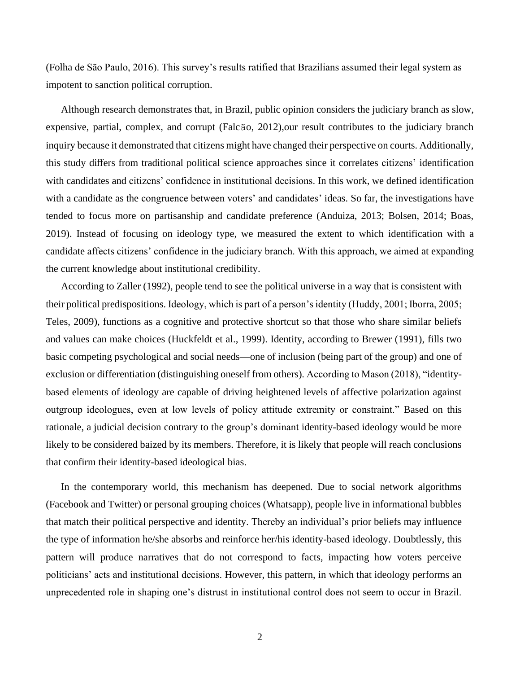(Folha de São Paulo, 2016). This survey's results ratified that Brazilians assumed their legal system as impotent to sanction political corruption.

Although research demonstrates that, in Brazil, public opinion considers the judiciary branch as slow, expensive, partial, complex, and corrupt (Falcão, 2012),our result contributes to the judiciary branch inquiry because it demonstrated that citizens might have changed their perspective on courts. Additionally, this study differs from traditional political science approaches since it correlates citizens' identification with candidates and citizens' confidence in institutional decisions. In this work, we defined identification with a candidate as the congruence between voters' and candidates' ideas. So far, the investigations have tended to focus more on partisanship and candidate preference (Anduiza, 2013; Bolsen, 2014; Boas, 2019). Instead of focusing on ideology type, we measured the extent to which identification with a candidate affects citizens' confidence in the judiciary branch. With this approach, we aimed at expanding the current knowledge about institutional credibility.

According to Zaller (1992), people tend to see the political universe in a way that is consistent with their political predispositions. Ideology, which is part of a person's identity (Huddy, 2001; Iborra, 2005; Teles, 2009), functions as a cognitive and protective shortcut so that those who share similar beliefs and values can make choices (Huckfeldt et al., 1999). Identity, according to Brewer (1991), fills two basic competing psychological and social needs—one of inclusion (being part of the group) and one of exclusion or differentiation (distinguishing oneself from others). According to Mason (2018), "identitybased elements of ideology are capable of driving heightened levels of affective polarization against outgroup ideologues, even at low levels of policy attitude extremity or constraint." Based on this rationale, a judicial decision contrary to the group's dominant identity-based ideology would be more likely to be considered baized by its members. Therefore, it is likely that people will reach conclusions that confirm their identity-based ideological bias.

In the contemporary world, this mechanism has deepened. Due to social network algorithms (Facebook and Twitter) or personal grouping choices (Whatsapp), people live in informational bubbles that match their political perspective and identity. Thereby an individual's prior beliefs may influence the type of information he/she absorbs and reinforce her/his identity-based ideology. Doubtlessly, this pattern will produce narratives that do not correspond to facts, impacting how voters perceive politicians' acts and institutional decisions. However, this pattern, in which that ideology performs an unprecedented role in shaping one's distrust in institutional control does not seem to occur in Brazil.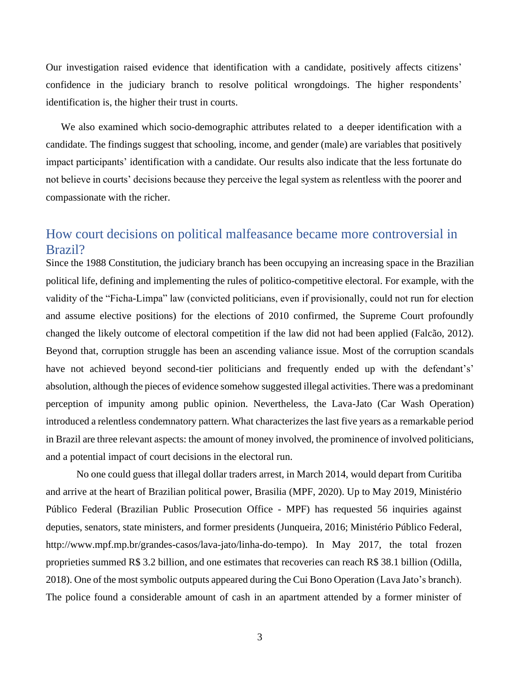Our investigation raised evidence that identification with a candidate, positively affects citizens' confidence in the judiciary branch to resolve political wrongdoings. The higher respondents' identification is, the higher their trust in courts.

We also examined which socio-demographic attributes related to a deeper identification with a candidate. The findings suggest that schooling, income, and gender (male) are variables that positively impact participants' identification with a candidate. Our results also indicate that the less fortunate do not believe in courts' decisions because they perceive the legal system as relentless with the poorer and compassionate with the richer.

## <span id="page-11-0"></span>How court decisions on political malfeasance became more controversial in Brazil?

Since the 1988 Constitution, the judiciary branch has been occupying an increasing space in the Brazilian political life, defining and implementing the rules of politico-competitive electoral. For example, with the validity of the "Ficha-Limpa" law (convicted politicians, even if provisionally, could not run for election and assume elective positions) for the elections of 2010 confirmed, the Supreme Court profoundly changed the likely outcome of electoral competition if the law did not had been applied (Falcão, 2012). Beyond that, corruption struggle has been an ascending valiance issue. Most of the corruption scandals have not achieved beyond second-tier politicians and frequently ended up with the defendant's' absolution, although the pieces of evidence somehow suggested illegal activities. There was a predominant perception of impunity among public opinion. Nevertheless, the Lava-Jato (Car Wash Operation) introduced a relentless condemnatory pattern. What characterizes the last five years as a remarkable period in Brazil are three relevant aspects: the amount of money involved, the prominence of involved politicians, and a potential impact of court decisions in the electoral run.

No one could guess that illegal dollar traders arrest, in March 2014, would depart from Curitiba and arrive at the heart of Brazilian political power, Brasilia (MPF, 2020). Up to May 2019, Ministério Público Federal (Brazilian Public Prosecution Office - MPF) has requested 56 inquiries against deputies, senators, state ministers, and former presidents (Junqueira, 2016; Ministério Público Federal, http://www.mpf.mp.br/grandes-casos/lava-jato/linha-do-tempo). In May 2017, the total frozen proprieties summed R\$ 3.2 billion, and one estimates that recoveries can reach R\$ 38.1 billion (Odilla, 2018). One of the most symbolic outputs appeared during the Cui Bono Operation (Lava Jato's branch). The police found a considerable amount of cash in an apartment attended by a former minister of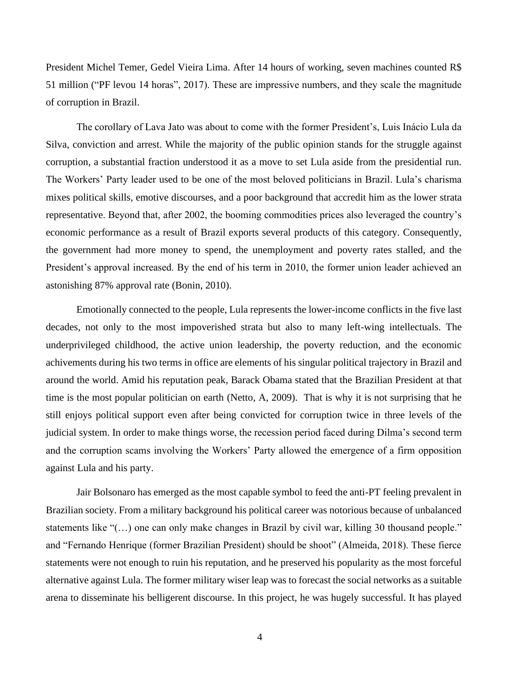President Michel Temer, Gedel Vieira Lima. After 14 hours of working, seven machines counted R\$ 51 million ("PF levou 14 horas", 2017). These are impressive numbers, and they scale the magnitude of corruption in Brazil.

The corollary of Lava Jato was about to come with the former President's, Luis Inácio Lula da Silva, conviction and arrest. While the majority of the public opinion stands for the struggle against corruption, a substantial fraction understood it as a move to set Lula aside from the presidential run. The Workers' Party leader used to be one of the most beloved politicians in Brazil. Lula's charisma mixes political skills, emotive discourses, and a poor background that accredit him as the lower strata representative. Beyond that, after 2002, the booming commodities prices also leveraged the country's economic performance as a result of Brazil exports several products of this category. Consequently, the government had more money to spend, the unemployment and poverty rates stalled, and the President's approval increased. By the end of his term in 2010, the former union leader achieved an astonishing 87% approval rate (Bonin, 2010).

Emotionally connected to the people, Lula represents the lower-income conflicts in the five last decades, not only to the most impoverished strata but also to many left-wing intellectuals. The underprivileged childhood, the active union leadership, the poverty reduction, and the economic achivements during his two terms in office are elements of his singular political trajectory in Brazil and around the world. Amid his reputation peak, Barack Obama stated that the Brazilian President at that time is the most popular politician on earth (Netto, A, 2009). That is why it is not surprising that he still enjoys political support even after being convicted for corruption twice in three levels of the judicial system. In order to make things worse, the recession period faced during Dilma's second term and the corruption scams involving the Workers' Party allowed the emergence of a firm opposition against Lula and his party.

Jair Bolsonaro has emerged as the most capable symbol to feed the anti-PT feeling prevalent in Brazilian society. From a military background his political career was notorious because of unbalanced statements like "(…) one can only make changes in Brazil by civil war, killing 30 thousand people." and "Fernando Henrique (former Brazilian President) should be shoot" (Almeida, 2018). These fierce statements were not enough to ruin his reputation, and he preserved his popularity as the most forceful alternative against Lula. The former military wiser leap was to forecast the social networks as a suitable arena to disseminate his belligerent discourse. In this project, he was hugely successful. It has played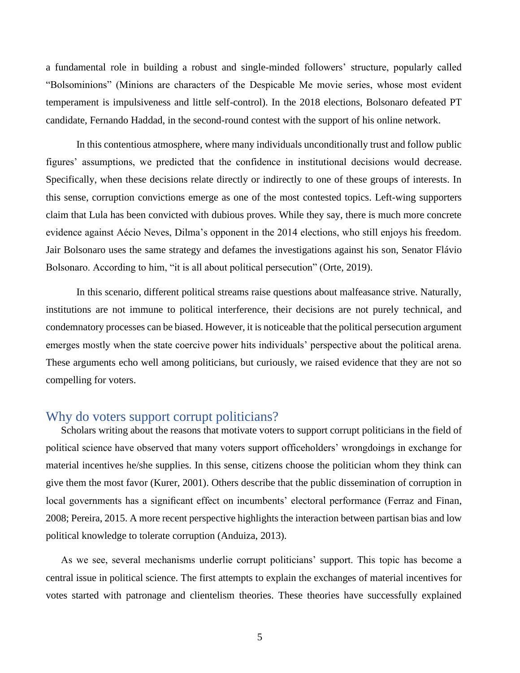a fundamental role in building a robust and single-minded followers' structure, popularly called "Bolsominions" (Minions are characters of the Despicable Me movie series, whose most evident temperament is impulsiveness and little self-control). In the 2018 elections, Bolsonaro defeated PT candidate, Fernando Haddad, in the second-round contest with the support of his online network.

In this contentious atmosphere, where many individuals unconditionally trust and follow public figures' assumptions, we predicted that the confidence in institutional decisions would decrease. Specifically, when these decisions relate directly or indirectly to one of these groups of interests. In this sense, corruption convictions emerge as one of the most contested topics. Left-wing supporters claim that Lula has been convicted with dubious proves. While they say, there is much more concrete evidence against Aécio Neves, Dilma's opponent in the 2014 elections, who still enjoys his freedom. Jair Bolsonaro uses the same strategy and defames the investigations against his son, Senator Flávio Bolsonaro. According to him, "it is all about political persecution" (Orte, 2019).

In this scenario, different political streams raise questions about malfeasance strive. Naturally, institutions are not immune to political interference, their decisions are not purely technical, and condemnatory processes can be biased. However, it is noticeable that the political persecution argument emerges mostly when the state coercive power hits individuals' perspective about the political arena. These arguments echo well among politicians, but curiously, we raised evidence that they are not so compelling for voters.

## <span id="page-13-0"></span>Why do voters support corrupt politicians?

Scholars writing about the reasons that motivate voters to support corrupt politicians in the field of political science have observed that many voters support officeholders' wrongdoings in exchange for material incentives he/she supplies. In this sense, citizens choose the politician whom they think can give them the most favor (Kurer, 2001). Others describe that the public dissemination of corruption in local governments has a significant effect on incumbents' electoral performance (Ferraz and Finan, 2008; Pereira, 2015. A more recent perspective highlights the interaction between partisan bias and low political knowledge to tolerate corruption (Anduiza, 2013).

As we see, several mechanisms underlie corrupt politicians' support. This topic has become a central issue in political science. The first attempts to explain the exchanges of material incentives for votes started with patronage and clientelism theories. These theories have successfully explained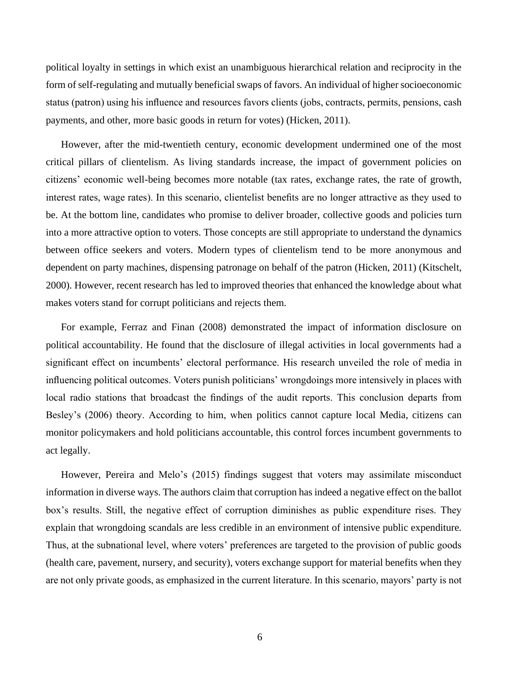political loyalty in settings in which exist an unambiguous hierarchical relation and reciprocity in the form of self-regulating and mutually beneficial swaps of favors. An individual of higher socioeconomic status (patron) using his influence and resources favors clients (jobs, contracts, permits, pensions, cash payments, and other, more basic goods in return for votes) (Hicken, 2011).

However, after the mid-twentieth century, economic development undermined one of the most critical pillars of clientelism. As living standards increase, the impact of government policies on citizens' economic well-being becomes more notable (tax rates, exchange rates, the rate of growth, interest rates, wage rates). In this scenario, clientelist benefits are no longer attractive as they used to be. At the bottom line, candidates who promise to deliver broader, collective goods and policies turn into a more attractive option to voters. Those concepts are still appropriate to understand the dynamics between office seekers and voters. Modern types of clientelism tend to be more anonymous and dependent on party machines, dispensing patronage on behalf of the patron (Hicken, 2011) (Kitschelt, 2000). However, recent research has led to improved theories that enhanced the knowledge about what makes voters stand for corrupt politicians and rejects them.

For example, Ferraz and Finan (2008) demonstrated the impact of information disclosure on political accountability. He found that the disclosure of illegal activities in local governments had a significant effect on incumbents' electoral performance. His research unveiled the role of media in influencing political outcomes. Voters punish politicians' wrongdoings more intensively in places with local radio stations that broadcast the findings of the audit reports. This conclusion departs from Besley's (2006) theory. According to him, when politics cannot capture local Media, citizens can monitor policymakers and hold politicians accountable, this control forces incumbent governments to act legally.

However, Pereira and Melo's (2015) findings suggest that voters may assimilate misconduct information in diverse ways. The authors claim that corruption has indeed a negative effect on the ballot box's results. Still, the negative effect of corruption diminishes as public expenditure rises. They explain that wrongdoing scandals are less credible in an environment of intensive public expenditure. Thus, at the subnational level, where voters' preferences are targeted to the provision of public goods (health care, pavement, nursery, and security), voters exchange support for material benefits when they are not only private goods, as emphasized in the current literature. In this scenario, mayors' party is not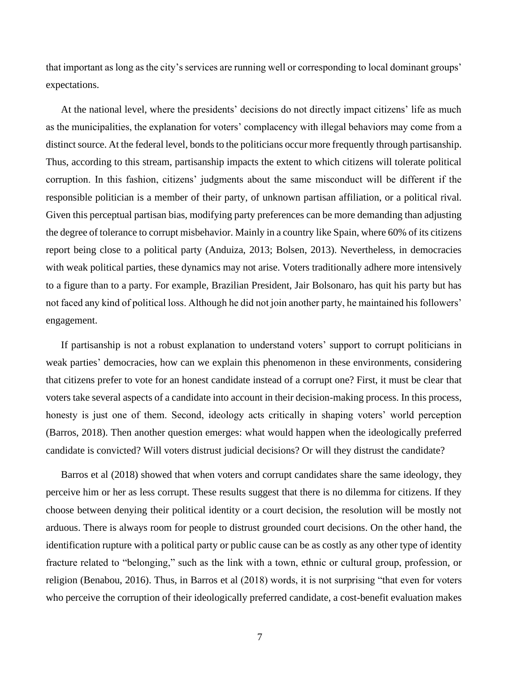that important as long as the city's services are running well or corresponding to local dominant groups' expectations.

At the national level, where the presidents' decisions do not directly impact citizens' life as much as the municipalities, the explanation for voters' complacency with illegal behaviors may come from a distinct source. At the federal level, bonds to the politicians occur more frequently through partisanship. Thus, according to this stream, partisanship impacts the extent to which citizens will tolerate political corruption. In this fashion, citizens' judgments about the same misconduct will be different if the responsible politician is a member of their party, of unknown partisan affiliation, or a political rival. Given this perceptual partisan bias, modifying party preferences can be more demanding than adjusting the degree of tolerance to corrupt misbehavior. Mainly in a country like Spain, where 60% of its citizens report being close to a political party (Anduiza, 2013; Bolsen, 2013). Nevertheless, in democracies with weak political parties, these dynamics may not arise. Voters traditionally adhere more intensively to a figure than to a party. For example, Brazilian President, Jair Bolsonaro, has quit his party but has not faced any kind of political loss. Although he did not join another party, he maintained his followers' engagement.

If partisanship is not a robust explanation to understand voters' support to corrupt politicians in weak parties' democracies, how can we explain this phenomenon in these environments, considering that citizens prefer to vote for an honest candidate instead of a corrupt one? First, it must be clear that voters take several aspects of a candidate into account in their decision-making process. In this process, honesty is just one of them. Second, ideology acts critically in shaping voters' world perception (Barros, 2018). Then another question emerges: what would happen when the ideologically preferred candidate is convicted? Will voters distrust judicial decisions? Or will they distrust the candidate?

Barros et al (2018) showed that when voters and corrupt candidates share the same ideology, they perceive him or her as less corrupt. These results suggest that there is no dilemma for citizens. If they choose between denying their political identity or a court decision, the resolution will be mostly not arduous. There is always room for people to distrust grounded court decisions. On the other hand, the identification rupture with a political party or public cause can be as costly as any other type of identity fracture related to "belonging," such as the link with a town, ethnic or cultural group, profession, or religion (Benabou, 2016). Thus, in Barros et al (2018) words, it is not surprising "that even for voters who perceive the corruption of their ideologically preferred candidate, a cost-benefit evaluation makes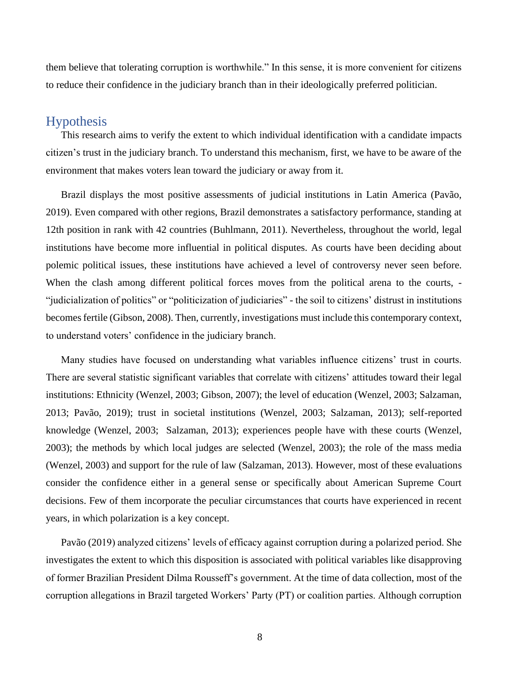them believe that tolerating corruption is worthwhile." In this sense, it is more convenient for citizens to reduce their confidence in the judiciary branch than in their ideologically preferred politician.

## <span id="page-16-0"></span>Hypothesis

This research aims to verify the extent to which individual identification with a candidate impacts citizen's trust in the judiciary branch. To understand this mechanism, first, we have to be aware of the environment that makes voters lean toward the judiciary or away from it.

Brazil displays the most positive assessments of judicial institutions in Latin America (Pavão, 2019). Even compared with other regions, Brazil demonstrates a satisfactory performance, standing at 12th position in rank with 42 countries (Buhlmann, 2011). Nevertheless, throughout the world, legal institutions have become more influential in political disputes. As courts have been deciding about polemic political issues, these institutions have achieved a level of controversy never seen before. When the clash among different political forces moves from the political arena to the courts, -"judicialization of politics" or "politicization of judiciaries" - the soil to citizens' distrust in institutions becomes fertile (Gibson, 2008). Then, currently, investigations must include this contemporary context, to understand voters' confidence in the judiciary branch.

Many studies have focused on understanding what variables influence citizens' trust in courts. There are several statistic significant variables that correlate with citizens' attitudes toward their legal institutions: Ethnicity (Wenzel, 2003; Gibson, 2007); the level of education (Wenzel, 2003; Salzaman, 2013; Pavão, 2019); trust in societal institutions (Wenzel, 2003; Salzaman, 2013); self-reported knowledge (Wenzel, 2003; Salzaman, 2013); experiences people have with these courts (Wenzel, 2003); the methods by which local judges are selected (Wenzel, 2003); the role of the mass media (Wenzel, 2003) and support for the rule of law (Salzaman, 2013). However, most of these evaluations consider the confidence either in a general sense or specifically about American Supreme Court decisions. Few of them incorporate the peculiar circumstances that courts have experienced in recent years, in which polarization is a key concept.

Pavão (2019) analyzed citizens' levels of efficacy against corruption during a polarized period. She investigates the extent to which this disposition is associated with political variables like disapproving of former Brazilian President Dilma Rousseff's government. At the time of data collection, most of the corruption allegations in Brazil targeted Workers' Party (PT) or coalition parties. Although corruption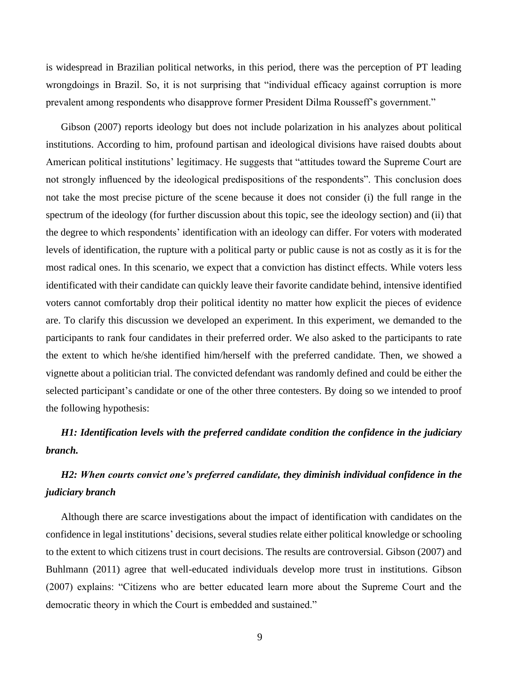is widespread in Brazilian political networks, in this period, there was the perception of PT leading wrongdoings in Brazil. So, it is not surprising that "individual efficacy against corruption is more prevalent among respondents who disapprove former President Dilma Rousseff's government."

Gibson (2007) reports ideology but does not include polarization in his analyzes about political institutions. According to him, profound partisan and ideological divisions have raised doubts about American political institutions' legitimacy. He suggests that "attitudes toward the Supreme Court are not strongly influenced by the ideological predispositions of the respondents". This conclusion does not take the most precise picture of the scene because it does not consider (i) the full range in the spectrum of the ideology (for further discussion about this topic, see the ideology section) and (ii) that the degree to which respondents' identification with an ideology can differ. For voters with moderated levels of identification, the rupture with a political party or public cause is not as costly as it is for the most radical ones. In this scenario, we expect that a conviction has distinct effects. While voters less identificated with their candidate can quickly leave their favorite candidate behind, intensive identified voters cannot comfortably drop their political identity no matter how explicit the pieces of evidence are. To clarify this discussion we developed an experiment. In this experiment, we demanded to the participants to rank four candidates in their preferred order. We also asked to the participants to rate the extent to which he/she identified him/herself with the preferred candidate. Then, we showed a vignette about a politician trial. The convicted defendant was randomly defined and could be either the selected participant's candidate or one of the other three contesters. By doing so we intended to proof the following hypothesis:

## *H1: Identification levels with the preferred candidate condition the confidence in the judiciary branch.*

## *H2: When courts convict one's preferred candidate, they diminish individual confidence in the judiciary branch*

Although there are scarce investigations about the impact of identification with candidates on the confidence in legal institutions' decisions, several studies relate either political knowledge or schooling to the extent to which citizens trust in court decisions. The results are controversial. Gibson (2007) and Buhlmann (2011) agree that well-educated individuals develop more trust in institutions. Gibson (2007) explains: "Citizens who are better educated learn more about the Supreme Court and the democratic theory in which the Court is embedded and sustained."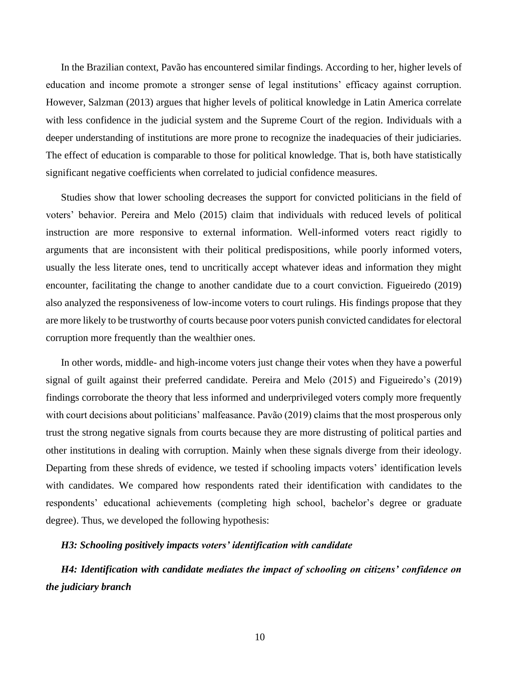In the Brazilian context, Pavão has encountered similar findings. According to her, higher levels of education and income promote a stronger sense of legal institutions' efficacy against corruption. However, Salzman (2013) argues that higher levels of political knowledge in Latin America correlate with less confidence in the judicial system and the Supreme Court of the region. Individuals with a deeper understanding of institutions are more prone to recognize the inadequacies of their judiciaries. The effect of education is comparable to those for political knowledge. That is, both have statistically significant negative coefficients when correlated to judicial confidence measures.

Studies show that lower schooling decreases the support for convicted politicians in the field of voters' behavior. Pereira and Melo (2015) claim that individuals with reduced levels of political instruction are more responsive to external information. Well-informed voters react rigidly to arguments that are inconsistent with their political predispositions, while poorly informed voters, usually the less literate ones, tend to uncritically accept whatever ideas and information they might encounter, facilitating the change to another candidate due to a court conviction. Figueiredo (2019) also analyzed the responsiveness of low-income voters to court rulings. His findings propose that they are more likely to be trustworthy of courts because poor voters punish convicted candidates for electoral corruption more frequently than the wealthier ones.

In other words, middle- and high-income voters just change their votes when they have a powerful signal of guilt against their preferred candidate. Pereira and Melo (2015) and Figueiredo's (2019) findings corroborate the theory that less informed and underprivileged voters comply more frequently with court decisions about politicians' malfeasance. Pavão (2019) claims that the most prosperous only trust the strong negative signals from courts because they are more distrusting of political parties and other institutions in dealing with corruption. Mainly when these signals diverge from their ideology. Departing from these shreds of evidence, we tested if schooling impacts voters' identification levels with candidates. We compared how respondents rated their identification with candidates to the respondents' educational achievements (completing high school, bachelor's degree or graduate degree). Thus, we developed the following hypothesis:

#### *H3: Schooling positively impacts voters' identification with candidate*

*H4: Identification with candidate mediates the impact of schooling on citizens' confidence on the judiciary branch*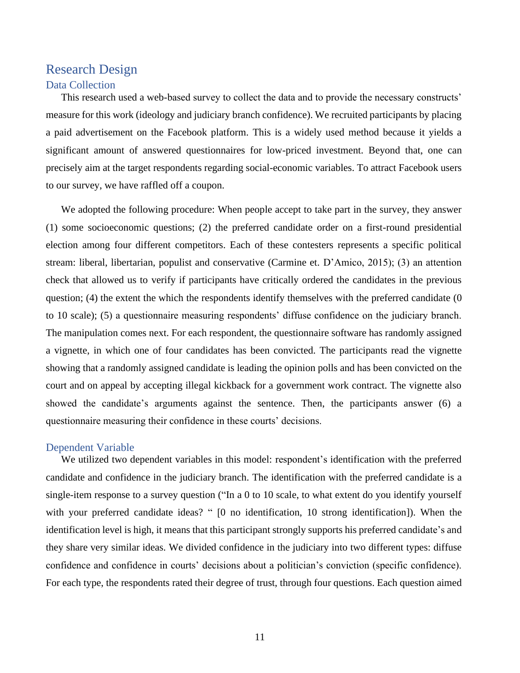## <span id="page-19-1"></span><span id="page-19-0"></span>Research Design Data Collection

This research used a web-based survey to collect the data and to provide the necessary constructs' measure for this work (ideology and judiciary branch confidence). We recruited participants by placing a paid advertisement on the Facebook platform. This is a widely used method because it yields a significant amount of answered questionnaires for low-priced investment. Beyond that, one can precisely aim at the target respondents regarding social-economic variables. To attract Facebook users to our survey, we have raffled off a coupon.

We adopted the following procedure: When people accept to take part in the survey, they answer (1) some socioeconomic questions; (2) the preferred candidate order on a first-round presidential election among four different competitors. Each of these contesters represents a specific political stream: liberal, libertarian, populist and conservative (Carmine et. D'Amico, 2015); (3) an attention check that allowed us to verify if participants have critically ordered the candidates in the previous question; (4) the extent the which the respondents identify themselves with the preferred candidate (0 to 10 scale); (5) a questionnaire measuring respondents' diffuse confidence on the judiciary branch. The manipulation comes next. For each respondent, the questionnaire software has randomly assigned a vignette, in which one of four candidates has been convicted. The participants read the vignette showing that a randomly assigned candidate is leading the opinion polls and has been convicted on the court and on appeal by accepting illegal kickback for a government work contract. The vignette also showed the candidate's arguments against the sentence. Then, the participants answer (6) a questionnaire measuring their confidence in these courts' decisions.

#### <span id="page-19-2"></span>Dependent Variable

We utilized two dependent variables in this model: respondent's identification with the preferred candidate and confidence in the judiciary branch. The identification with the preferred candidate is a single-item response to a survey question ("In a 0 to 10 scale, to what extent do you identify yourself with your preferred candidate ideas? " [0 no identification, 10 strong identification]). When the identification level is high, it means that this participant strongly supports his preferred candidate's and they share very similar ideas. We divided confidence in the judiciary into two different types: diffuse confidence and confidence in courts' decisions about a politician's conviction (specific confidence). For each type, the respondents rated their degree of trust, through four questions. Each question aimed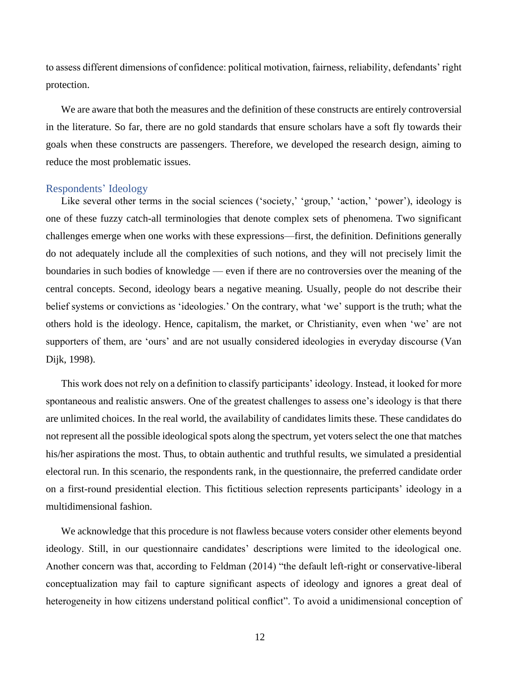to assess different dimensions of confidence: political motivation, fairness, reliability, defendants' right protection.

We are aware that both the measures and the definition of these constructs are entirely controversial in the literature. So far, there are no gold standards that ensure scholars have a soft fly towards their goals when these constructs are passengers. Therefore, we developed the research design, aiming to reduce the most problematic issues.

#### <span id="page-20-0"></span>Respondents' Ideology

Like several other terms in the social sciences ('society,' 'group,' 'action,' 'power'), ideology is one of these fuzzy catch-all terminologies that denote complex sets of phenomena. Two significant challenges emerge when one works with these expressions—first, the definition. Definitions generally do not adequately include all the complexities of such notions, and they will not precisely limit the boundaries in such bodies of knowledge — even if there are no controversies over the meaning of the central concepts. Second, ideology bears a negative meaning. Usually, people do not describe their belief systems or convictions as 'ideologies.' On the contrary, what 'we' support is the truth; what the others hold is the ideology. Hence, capitalism, the market, or Christianity, even when 'we' are not supporters of them, are 'ours' and are not usually considered ideologies in everyday discourse (Van Dijk, 1998).

This work does not rely on a definition to classify participants' ideology. Instead, it looked for more spontaneous and realistic answers. One of the greatest challenges to assess one's ideology is that there are unlimited choices. In the real world, the availability of candidates limits these. These candidates do not represent all the possible ideological spots along the spectrum, yet voters select the one that matches his/her aspirations the most. Thus, to obtain authentic and truthful results, we simulated a presidential electoral run. In this scenario, the respondents rank, in the questionnaire, the preferred candidate order on a first-round presidential election. This fictitious selection represents participants' ideology in a multidimensional fashion.

We acknowledge that this procedure is not flawless because voters consider other elements beyond ideology. Still, in our questionnaire candidates' descriptions were limited to the ideological one. Another concern was that, according to Feldman (2014) "the default left-right or conservative-liberal conceptualization may fail to capture significant aspects of ideology and ignores a great deal of heterogeneity in how citizens understand political conflict". To avoid a unidimensional conception of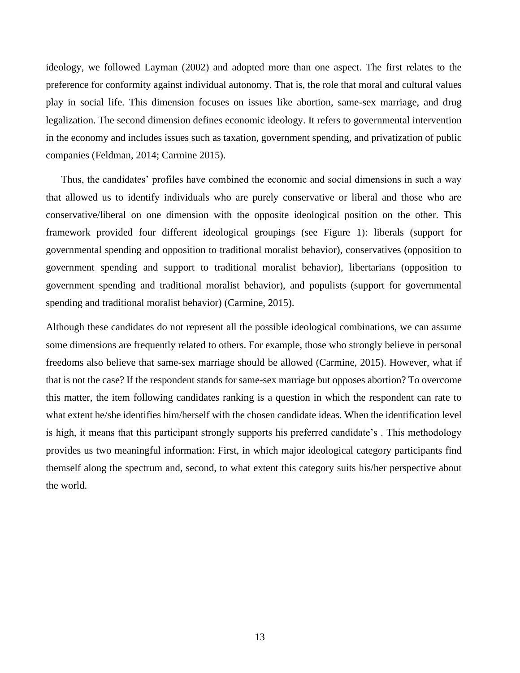ideology, we followed Layman (2002) and adopted more than one aspect. The first relates to the preference for conformity against individual autonomy. That is, the role that moral and cultural values play in social life. This dimension focuses on issues like abortion, same-sex marriage, and drug legalization. The second dimension defines economic ideology. It refers to governmental intervention in the economy and includes issues such as taxation, government spending, and privatization of public companies (Feldman, 2014; Carmine 2015).

Thus, the candidates' profiles have combined the economic and social dimensions in such a way that allowed us to identify individuals who are purely conservative or liberal and those who are conservative/liberal on one dimension with the opposite ideological position on the other. This framework provided four different ideological groupings (see Figure 1): liberals (support for governmental spending and opposition to traditional moralist behavior), conservatives (opposition to government spending and support to traditional moralist behavior), libertarians (opposition to government spending and traditional moralist behavior), and populists (support for governmental spending and traditional moralist behavior) (Carmine, 2015).

Although these candidates do not represent all the possible ideological combinations, we can assume some dimensions are frequently related to others. For example, those who strongly believe in personal freedoms also believe that same-sex marriage should be allowed (Carmine, 2015). However, what if that is not the case? If the respondent stands for same-sex marriage but opposes abortion? To overcome this matter, the item following candidates ranking is a question in which the respondent can rate to what extent he/she identifies him/herself with the chosen candidate ideas. When the identification level is high, it means that this participant strongly supports his preferred candidate's . This methodology provides us two meaningful information: First, in which major ideological category participants find themself along the spectrum and, second, to what extent this category suits his/her perspective about the world.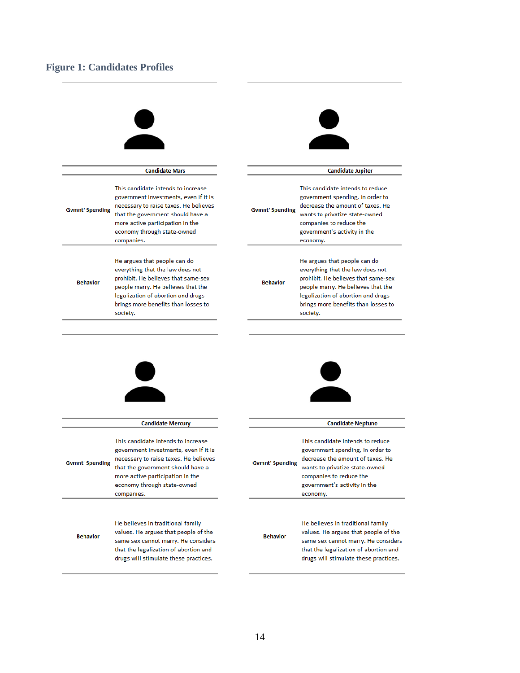## <span id="page-22-0"></span>**Figure 1: Candidates Profiles**

|                        | <b>Candidate Mars</b>                                                                                                                                                                                                                      |                        | <b>Candidate Jupiter</b>                                                                                                                                                                                                               |
|------------------------|--------------------------------------------------------------------------------------------------------------------------------------------------------------------------------------------------------------------------------------------|------------------------|----------------------------------------------------------------------------------------------------------------------------------------------------------------------------------------------------------------------------------------|
| <b>Gymnt' Spending</b> | This candidate intends to increase<br>government investments, even if it is<br>necessary to raise taxes. He believes<br>that the government should have a<br>more active participation in the<br>economy through state-owned<br>companies. | <b>Gymnt' Spending</b> | This candidate intends to reduce<br>government spending, in order to<br>decrease the amount of taxes. He<br>wants to privatize state-owned<br>companies to reduce the<br>government's activity in the<br>economy.                      |
| <b>Behavior</b>        | He argues that people can do<br>everything that the law does not<br>prohibit. He believes that same-sex<br>people marry. He believes that the<br>legalization of abortion and drugs<br>brings more benefits than losses to<br>society.     | <b>Behavior</b>        | He argues that people can do<br>everything that the law does not<br>prohibit. He believes that same-sex<br>people marry. He believes that the<br>legalization of abortion and drugs<br>brings more benefits than losses to<br>society. |
|                        |                                                                                                                                                                                                                                            |                        |                                                                                                                                                                                                                                        |
|                        | <b>Candidate Mercury</b>                                                                                                                                                                                                                   |                        | <b>Candidate Neptuno</b>                                                                                                                                                                                                               |
| <b>Gymnt' Spending</b> | This candidate intends to increase<br>government investments, even if it is<br>necessary to raise taxes. He believes<br>that the government should have a<br>more active participation in the<br>economy through state-owned<br>companies. | <b>Gymnt' Spending</b> | This candidate intends to reduce<br>government spending, in order to<br>decrease the amount of taxes. He<br>wants to privatize state-owned<br>companies to reduce the<br>government's activity in the<br>economy.                      |
| <b>Behavior</b>        | He believes in traditional family<br>values. He argues that people of the<br>same sex cannot marry. He considers<br>that the legalization of abortion and<br>drugs will stimulate these practices.                                         | <b>Behavior</b>        | He believes in traditional family<br>values. He argues that people of the<br>same sex cannot marry. He considers<br>that the legalization of abortion and<br>drugs will stimulate these practices.                                     |
|                        |                                                                                                                                                                                                                                            |                        |                                                                                                                                                                                                                                        |

 $\overline{a}$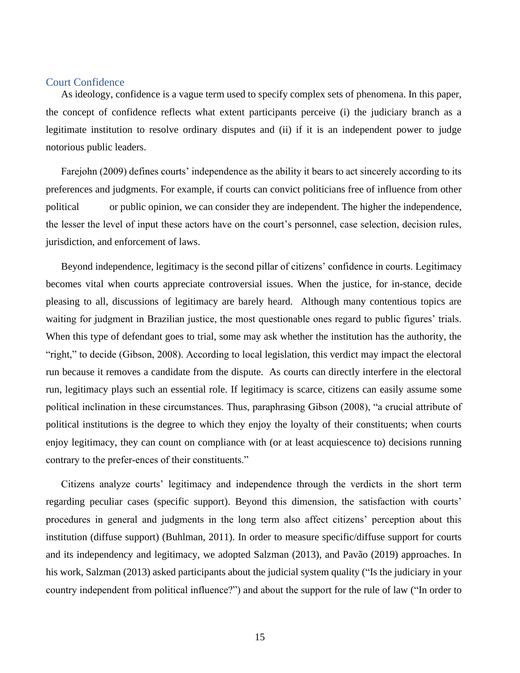#### <span id="page-23-0"></span>Court Confidence

As ideology, confidence is a vague term used to specify complex sets of phenomena. In this paper, the concept of confidence reflects what extent participants perceive (i) the judiciary branch as a legitimate institution to resolve ordinary disputes and (ii) if it is an independent power to judge notorious public leaders.

Farejohn (2009) defines courts' independence as the ability it bears to act sincerely according to its preferences and judgments. For example, if courts can convict politicians free of influence from other political or public opinion, we can consider they are independent. The higher the independence, the lesser the level of input these actors have on the court's personnel, case selection, decision rules, jurisdiction, and enforcement of laws.

Beyond independence, legitimacy is the second pillar of citizens' confidence in courts. Legitimacy becomes vital when courts appreciate controversial issues. When the justice, for in-stance, decide pleasing to all, discussions of legitimacy are barely heard. Although many contentious topics are waiting for judgment in Brazilian justice, the most questionable ones regard to public figures' trials. When this type of defendant goes to trial, some may ask whether the institution has the authority, the "right," to decide (Gibson, 2008). According to local legislation, this verdict may impact the electoral run because it removes a candidate from the dispute. As courts can directly interfere in the electoral run, legitimacy plays such an essential role. If legitimacy is scarce, citizens can easily assume some political inclination in these circumstances. Thus, paraphrasing Gibson (2008), "a crucial attribute of political institutions is the degree to which they enjoy the loyalty of their constituents; when courts enjoy legitimacy, they can count on compliance with (or at least acquiescence to) decisions running contrary to the prefer-ences of their constituents."

Citizens analyze courts' legitimacy and independence through the verdicts in the short term regarding peculiar cases (specific support). Beyond this dimension, the satisfaction with courts' procedures in general and judgments in the long term also affect citizens' perception about this institution (diffuse support) (Buhlman, 2011). In order to measure specific/diffuse support for courts and its independency and legitimacy, we adopted Salzman (2013), and Pavão (2019) approaches. In his work, Salzman (2013) asked participants about the judicial system quality ("Is the judiciary in your country independent from political influence?") and about the support for the rule of law ("In order to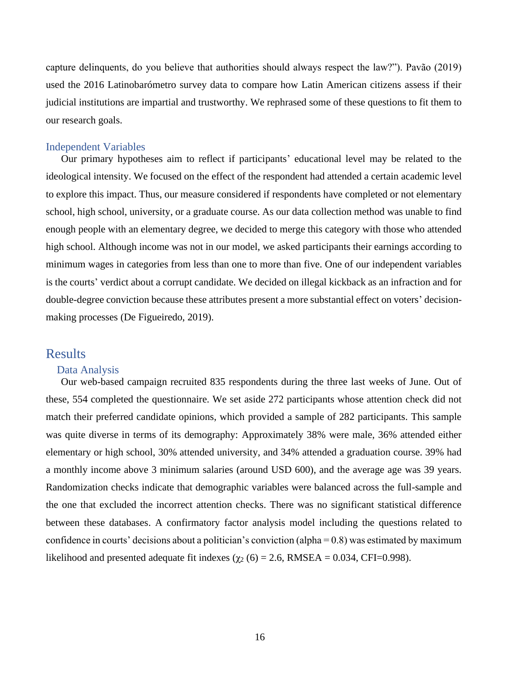capture delinquents, do you believe that authorities should always respect the law?"). Pavão (2019) used the 2016 Latinobarómetro survey data to compare how Latin American citizens assess if their judicial institutions are impartial and trustworthy. We rephrased some of these questions to fit them to our research goals.

#### <span id="page-24-0"></span>Independent Variables

Our primary hypotheses aim to reflect if participants' educational level may be related to the ideological intensity. We focused on the effect of the respondent had attended a certain academic level to explore this impact. Thus, our measure considered if respondents have completed or not elementary school, high school, university, or a graduate course. As our data collection method was unable to find enough people with an elementary degree, we decided to merge this category with those who attended high school. Although income was not in our model, we asked participants their earnings according to minimum wages in categories from less than one to more than five. One of our independent variables is the courts' verdict about a corrupt candidate. We decided on illegal kickback as an infraction and for double-degree conviction because these attributes present a more substantial effect on voters' decisionmaking processes (De Figueiredo, 2019).

## <span id="page-24-1"></span>Results

#### <span id="page-24-2"></span>Data Analysis

Our web-based campaign recruited 835 respondents during the three last weeks of June. Out of these, 554 completed the questionnaire. We set aside 272 participants whose attention check did not match their preferred candidate opinions, which provided a sample of 282 participants. This sample was quite diverse in terms of its demography: Approximately 38% were male, 36% attended either elementary or high school, 30% attended university, and 34% attended a graduation course. 39% had a monthly income above 3 minimum salaries (around USD 600), and the average age was 39 years. Randomization checks indicate that demographic variables were balanced across the full-sample and the one that excluded the incorrect attention checks. There was no significant statistical difference between these databases. A confirmatory factor analysis model including the questions related to confidence in courts' decisions about a politician's conviction (alpha  $= 0.8$ ) was estimated by maximum likelihood and presented adequate fit indexes ( $\chi$ 2 (6) = 2.6, RMSEA = 0.034, CFI=0.998).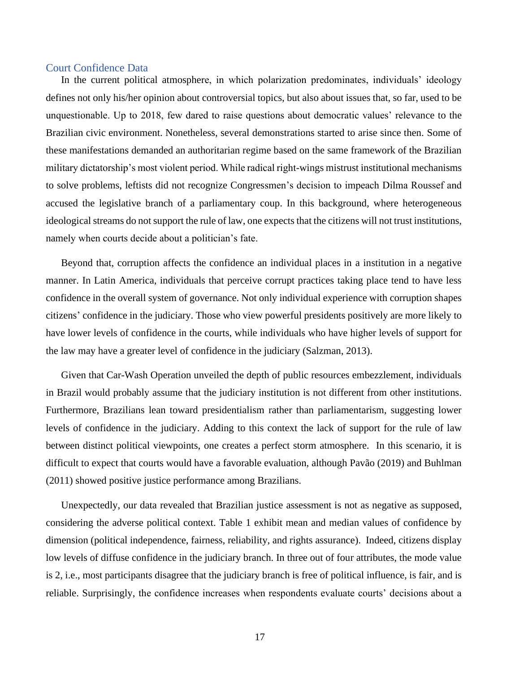#### <span id="page-25-0"></span>Court Confidence Data

In the current political atmosphere, in which polarization predominates, individuals' ideology defines not only his/her opinion about controversial topics, but also about issues that, so far, used to be unquestionable. Up to 2018, few dared to raise questions about democratic values' relevance to the Brazilian civic environment. Nonetheless, several demonstrations started to arise since then. Some of these manifestations demanded an authoritarian regime based on the same framework of the Brazilian military dictatorship's most violent period. While radical right-wings mistrust institutional mechanisms to solve problems, leftists did not recognize Congressmen's decision to impeach Dilma Roussef and accused the legislative branch of a parliamentary coup. In this background, where heterogeneous ideological streams do not support the rule of law, one expects that the citizens will not trust institutions, namely when courts decide about a politician's fate.

Beyond that, corruption affects the confidence an individual places in a institution in a negative manner. In Latin America, individuals that perceive corrupt practices taking place tend to have less confidence in the overall system of governance. Not only individual experience with corruption shapes citizens' confidence in the judiciary. Those who view powerful presidents positively are more likely to have lower levels of confidence in the courts, while individuals who have higher levels of support for the law may have a greater level of confidence in the judiciary (Salzman, 2013).

Given that Car-Wash Operation unveiled the depth of public resources embezzlement, individuals in Brazil would probably assume that the judiciary institution is not different from other institutions. Furthermore, Brazilians lean toward presidentialism rather than parliamentarism, suggesting lower levels of confidence in the judiciary. Adding to this context the lack of support for the rule of law between distinct political viewpoints, one creates a perfect storm atmosphere. In this scenario, it is difficult to expect that courts would have a favorable evaluation, although Pavão (2019) and Buhlman (2011) showed positive justice performance among Brazilians.

Unexpectedly, our data revealed that Brazilian justice assessment is not as negative as supposed, considering the adverse political context. Table 1 exhibit mean and median values of confidence by dimension (political independence, fairness, reliability, and rights assurance). Indeed, citizens display low levels of diffuse confidence in the judiciary branch. In three out of four attributes, the mode value is 2, i.e., most participants disagree that the judiciary branch is free of political influence, is fair, and is reliable. Surprisingly, the confidence increases when respondents evaluate courts' decisions about a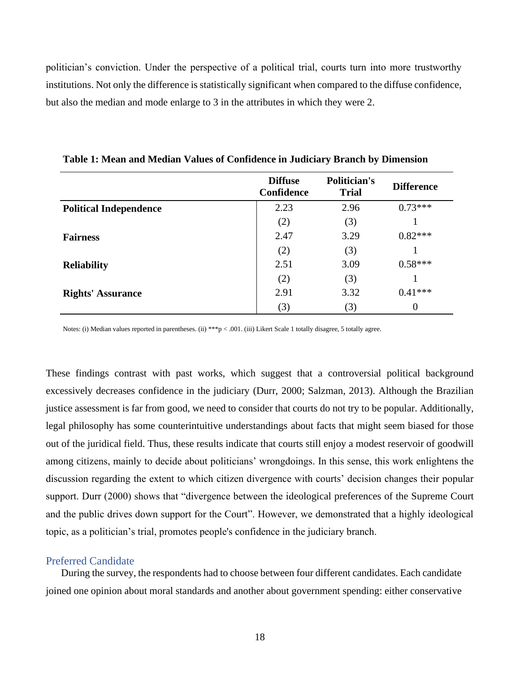politician's conviction. Under the perspective of a political trial, courts turn into more trustworthy institutions. Not only the difference is statistically significant when compared to the diffuse confidence, but also the median and mode enlarge to 3 in the attributes in which they were 2.

|                               | <b>Diffuse</b><br><b>Confidence</b> | Politician's<br><b>Trial</b> | <b>Difference</b> |  |
|-------------------------------|-------------------------------------|------------------------------|-------------------|--|
| <b>Political Independence</b> | 2.23                                | 2.96                         | $0.73***$         |  |
|                               | (2)                                 | (3)                          |                   |  |
| <b>Fairness</b>               | 2.47                                | 3.29                         | $0.82***$         |  |
|                               | (2)                                 | (3)                          |                   |  |
| <b>Reliability</b>            | 2.51                                | 3.09                         | $0.58***$         |  |
|                               | (2)                                 | (3)                          |                   |  |
| <b>Rights' Assurance</b>      | 2.91                                | 3.32                         | $0.41***$         |  |
|                               | (3)                                 | (3)                          | $\Omega$          |  |

<span id="page-26-1"></span>**Table 1: Mean and Median Values of Confidence in Judiciary Branch by Dimension**

Notes: (i) Median values reported in parentheses. (ii) \*\*\*p < .001. (iii) Likert Scale 1 totally disagree, 5 totally agree.

These findings contrast with past works, which suggest that a controversial political background excessively decreases confidence in the judiciary (Durr, 2000; Salzman, 2013). Although the Brazilian justice assessment is far from good, we need to consider that courts do not try to be popular. Additionally, legal philosophy has some counterintuitive understandings about facts that might seem biased for those out of the juridical field. Thus, these results indicate that courts still enjoy a modest reservoir of goodwill among citizens, mainly to decide about politicians' wrongdoings. In this sense, this work enlightens the discussion regarding the extent to which citizen divergence with courts' decision changes their popular support. Durr (2000) shows that "divergence between the ideological preferences of the Supreme Court and the public drives down support for the Court". However, we demonstrated that a highly ideological topic, as a politician's trial, promotes people's confidence in the judiciary branch.

#### <span id="page-26-0"></span>Preferred Candidate

During the survey, the respondents had to choose between four different candidates. Each candidate joined one opinion about moral standards and another about government spending: either conservative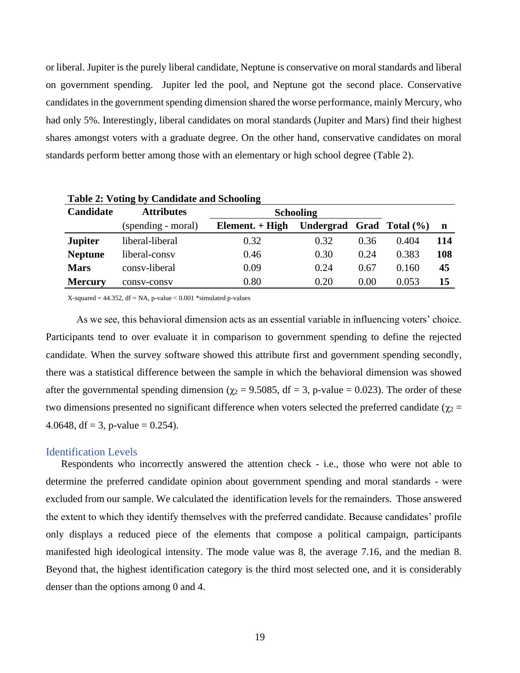or liberal. Jupiter is the purely liberal candidate, Neptune is conservative on moral standards and liberal on government spending. Jupiter led the pool, and Neptune got the second place. Conservative candidates in the government spending dimension shared the worse performance, mainly Mercury, who had only 5%. Interestingly, liberal candidates on moral standards (Jupiter and Mars) find their highest shares amongst voters with a graduate degree. On the other hand, conservative candidates on moral standards perform better among those with an elementary or high school degree (Table 2).

| Table 2: Voting by Candidate and Schooling |                    |                   |                              |      |       |     |  |
|--------------------------------------------|--------------------|-------------------|------------------------------|------|-------|-----|--|
| Candidate                                  | <b>Attributes</b>  | <b>Schooling</b>  |                              |      |       |     |  |
|                                            | (spending - moral) | Element. $+$ High | Undergrad Grad Total $(\% )$ |      |       | n   |  |
| <b>Jupiter</b>                             | liberal-liberal    | 0.32              | 0.32                         | 0.36 | 0.404 | 114 |  |
| <b>Neptune</b>                             | liberal-consy      | 0.46              | 0.30                         | 0.24 | 0.383 | 108 |  |
| <b>Mars</b>                                | consy-liberal      | 0.09              | 0.24                         | 0.67 | 0.160 | 45  |  |
| <b>Mercury</b>                             | consy-consy        | 0.80              | 0.20                         | 0.00 | 0.053 | 15  |  |

<span id="page-27-1"></span>**Table 2: Voting by Candidate and Schooling**

X-squared  $= 44.352$ , df  $= NA$ , p-value  $< 0.001$  \*simulated p-values

As we see, this behavioral dimension acts as an essential variable in influencing voters' choice. Participants tend to over evaluate it in comparison to government spending to define the rejected candidate. When the survey software showed this attribute first and government spending secondly, there was a statistical difference between the sample in which the behavioral dimension was showed after the governmental spending dimension ( $\gamma_2 = 9.5085$ , df = 3, p-value = 0.023). The order of these two dimensions presented no significant difference when voters selected the preferred candidate ( $\gamma_2$  = 4.0648, df = 3, p-value =  $0.254$ ).

#### <span id="page-27-0"></span>Identification Levels

Respondents who incorrectly answered the attention check - i.e., those who were not able to determine the preferred candidate opinion about government spending and moral standards - were excluded from our sample. We calculated the identification levels for the remainders. Those answered the extent to which they identify themselves with the preferred candidate. Because candidates' profile only displays a reduced piece of the elements that compose a political campaign, participants manifested high ideological intensity. The mode value was 8, the average 7.16, and the median 8. Beyond that, the highest identification category is the third most selected one, and it is considerably denser than the options among 0 and 4.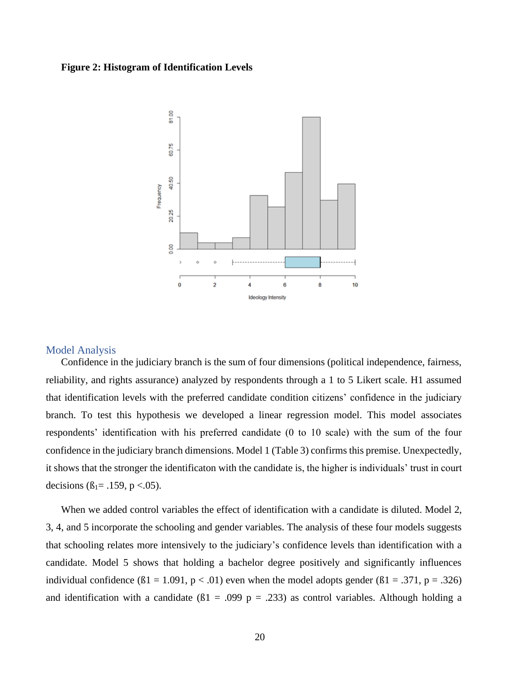#### <span id="page-28-1"></span>**Figure 2: Histogram of Identification Levels**



#### <span id="page-28-0"></span>Model Analysis

Confidence in the judiciary branch is the sum of four dimensions (political independence, fairness, reliability, and rights assurance) analyzed by respondents through a 1 to 5 Likert scale. H1 assumed that identification levels with the preferred candidate condition citizens' confidence in the judiciary branch. To test this hypothesis we developed a linear regression model. This model associates respondents' identification with his preferred candidate (0 to 10 scale) with the sum of the four confidence in the judiciary branch dimensions. Model 1 (Table 3) confirms this premise. Unexpectedly, it shows that the stronger the identificaton with the candidate is, the higher is individuals' trust in court decisions ( $\beta_1 = .159$ , p <.05).

When we added control variables the effect of identification with a candidate is diluted. Model 2, 3, 4, and 5 incorporate the schooling and gender variables. The analysis of these four models suggests that schooling relates more intensively to the judiciary's confidence levels than identification with a candidate. Model 5 shows that holding a bachelor degree positively and significantly influences individual confidence  $(61 = 1.091, p < .01)$  even when the model adopts gender  $(61 = .371, p = .326)$ and identification with a candidate ( $\beta$ 1 = .099 p = .233) as control variables. Although holding a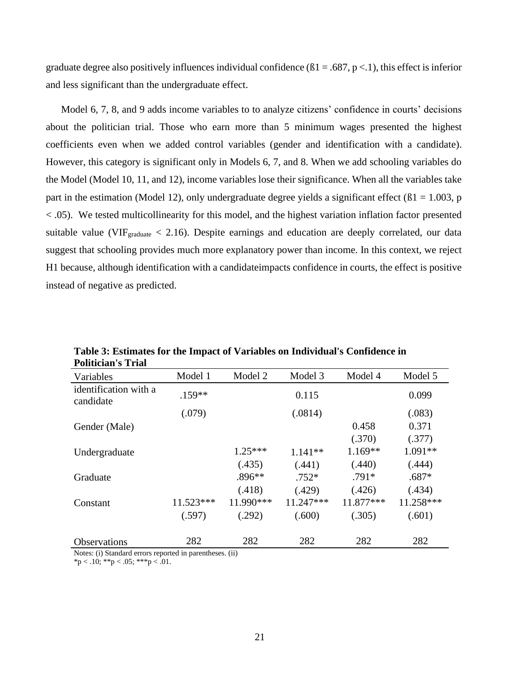graduate degree also positively influences individual confidence  $(61 = .687, p < .1)$ , this effect is inferior and less significant than the undergraduate effect.

Model 6, 7, 8, and 9 adds income variables to to analyze citizens' confidence in courts' decisions about the politician trial. Those who earn more than 5 minimum wages presented the highest coefficients even when we added control variables (gender and identification with a candidate). However, this category is significant only in Models 6, 7, and 8. When we add schooling variables do the Model (Model 10, 11, and 12), income variables lose their significance. When all the variables take part in the estimation (Model 12), only undergraduate degree yields a significant effect ( $\beta$ 1 = 1.003, p < .05). We tested multicollinearity for this model, and the highest variation inflation factor presented suitable value (VIF $_{\text{graduate}}$  < 2.16). Despite earnings and education are deeply correlated, our data suggest that schooling provides much more explanatory power than income. In this context, we reject H1 because, although identification with a candidateimpacts confidence in courts, the effect is positive instead of negative as predicted.

| Politician's Trial                 |           |            |             |           |           |
|------------------------------------|-----------|------------|-------------|-----------|-----------|
| Variables                          | Model 1   | Model 2    | Model 3     | Model 4   | Model 5   |
| identification with a<br>candidate | $.159**$  |            | 0.115       |           | 0.099     |
|                                    | (.079)    |            | (.0814)     |           | (.083)    |
| Gender (Male)                      |           |            |             | 0.458     | 0.371     |
|                                    |           |            |             | (.370)    | (.377)    |
| Undergraduate                      |           | $1.25***$  | $1.141**$   | $1.169**$ | $1.091**$ |
|                                    |           | (.435)     | (.441)      | (.440)    | (.444)    |
| Graduate                           |           | $.896**$   | $.752*$     | $.791*$   | $.687*$   |
|                                    |           | (.418)     | (.429)      | (.426)    | (.434)    |
| Constant                           | 11.523*** | 11.990 *** | $11.247***$ | 11.877*** | 11.258*** |
|                                    | (.597)    | (.292)     | (.600)      | (.305)    | (.601)    |
| <b>Observations</b>                | 282       | 282        | 282         | 282       | 282       |

<span id="page-29-0"></span>**Table 3: Estimates for the Impact of Variables on Individual's Confidence in Politician's Trial**

Notes: (i) Standard errors reported in parentheses. (ii)

 $***p** < .10; ****p** < .05; ****p** < .01.$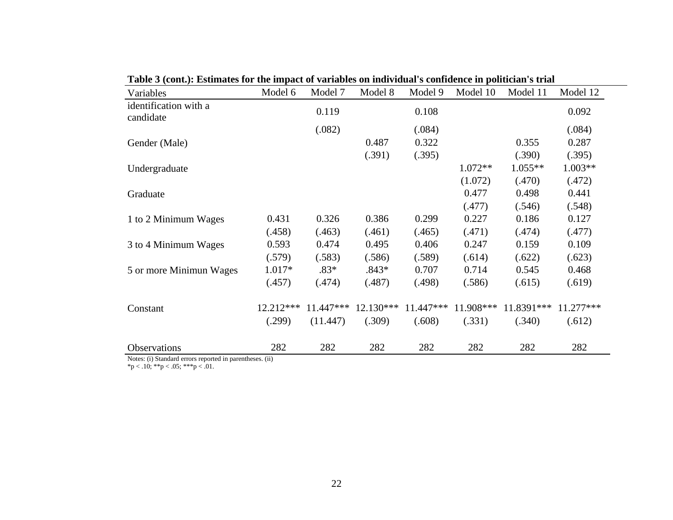| Variables                                                               | Model 6   | Model 7   | Model 8   | Model 9   | Model 10  | Model 11    | Model 12  |
|-------------------------------------------------------------------------|-----------|-----------|-----------|-----------|-----------|-------------|-----------|
| identification with a<br>candidate                                      |           | 0.119     |           | 0.108     |           |             | 0.092     |
|                                                                         |           | (.082)    |           | (.084)    |           |             | (.084)    |
| Gender (Male)                                                           |           |           | 0.487     | 0.322     |           | 0.355       | 0.287     |
|                                                                         |           |           | (.391)    | (.395)    |           | (.390)      | (.395)    |
| Undergraduate                                                           |           |           |           |           | $1.072**$ | $1.055**$   | 1.003**   |
|                                                                         |           |           |           |           | (1.072)   | (.470)      | (.472)    |
| Graduate                                                                |           |           |           |           | 0.477     | 0.498       | 0.441     |
|                                                                         |           |           |           |           | (.477)    | (.546)      | (.548)    |
| 1 to 2 Minimum Wages                                                    | 0.431     | 0.326     | 0.386     | 0.299     | 0.227     | 0.186       | 0.127     |
|                                                                         | (.458)    | (.463)    | (.461)    | (.465)    | (.471)    | (.474)      | (.477)    |
| 3 to 4 Minimum Wages                                                    | 0.593     | 0.474     | 0.495     | 0.406     | 0.247     | 0.159       | 0.109     |
|                                                                         | (.579)    | (.583)    | (.586)    | (.589)    | (.614)    | (.622)      | (.623)    |
| 5 or more Minimun Wages                                                 | $1.017*$  | $.83*$    | $.843*$   | 0.707     | 0.714     | 0.545       | 0.468     |
|                                                                         | (.457)    | (.474)    | (.487)    | (.498)    | (.586)    | (.615)      | (.619)    |
|                                                                         |           |           |           |           |           |             |           |
| Constant                                                                | 12.212*** | 11.447*** | 12.130*** | 11.447*** | 11.908*** | 11.8391 *** | 11.277*** |
|                                                                         | (.299)    | (11.447)  | (.309)    | (.608)    | (.331)    | (.340)      | (.612)    |
|                                                                         |           |           |           |           |           |             |           |
| Observations<br>Notes: (i) Standard errors reported in parentheses (ii) | 282       | 282       | 282       | 282       | 282       | 282         | 282       |

**Table 3 (cont.): Estimates for the impact of variables on individual's confidence in politician's trial**

Notes: (i) Standard errors reported in parentheses. (ii)

 $*p < .10; **p < .05; **p < .01.$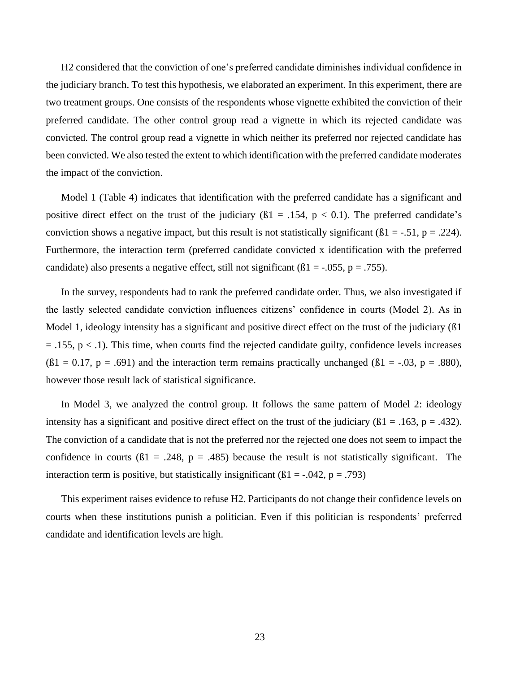H2 considered that the conviction of one's preferred candidate diminishes individual confidence in the judiciary branch. To test this hypothesis, we elaborated an experiment. In this experiment, there are two treatment groups. One consists of the respondents whose vignette exhibited the conviction of their preferred candidate. The other control group read a vignette in which its rejected candidate was convicted. The control group read a vignette in which neither its preferred nor rejected candidate has been convicted. We also tested the extent to which identification with the preferred candidate moderates the impact of the conviction.

Model 1 (Table 4) indicates that identification with the preferred candidate has a significant and positive direct effect on the trust of the judiciary  $(\beta1 = .154, p < 0.1)$ . The preferred candidate's conviction shows a negative impact, but this result is not statistically significant ( $\beta$ 1 = -.51, p = .224). Furthermore, the interaction term (preferred candidate convicted x identification with the preferred candidate) also presents a negative effect, still not significant ( $\beta$ 1 = -.055, p = .755).

In the survey, respondents had to rank the preferred candidate order. Thus, we also investigated if the lastly selected candidate conviction influences citizens' confidence in courts (Model 2). As in Model 1, ideology intensity has a significant and positive direct effect on the trust of the judiciary (ß1  $=$  .155,  $p < 0.1$ ). This time, when courts find the rejected candidate guilty, confidence levels increases  $(61 = 0.17, p = .691)$  and the interaction term remains practically unchanged  $(61 = .03, p = .880)$ , however those result lack of statistical significance.

In Model 3, we analyzed the control group. It follows the same pattern of Model 2: ideology intensity has a significant and positive direct effect on the trust of the judiciary ( $\beta$ 1 = .163, p = .432). The conviction of a candidate that is not the preferred nor the rejected one does not seem to impact the confidence in courts ( $\beta$ 1 = .248, p = .485) because the result is not statistically significant. The interaction term is positive, but statistically insignificant ( $\beta$ 1 = -.042, p = .793)

This experiment raises evidence to refuse H2. Participants do not change their confidence levels on courts when these institutions punish a politician. Even if this politician is respondents' preferred candidate and identification levels are high.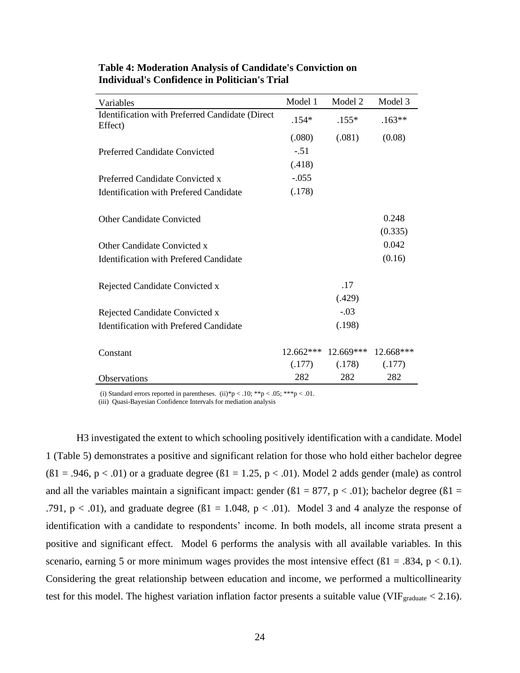| Variables                                                  | Model 1     | Model 2     | Model 3     |
|------------------------------------------------------------|-------------|-------------|-------------|
| Identification with Preferred Candidate (Direct<br>Effect) | $.154*$     | $.155*$     | $.163**$    |
|                                                            | (.080)      | (.081)      | (0.08)      |
| <b>Preferred Candidate Convicted</b>                       | $-.51$      |             |             |
|                                                            | (.418)      |             |             |
| Preferred Candidate Convicted x                            | $-.055$     |             |             |
| Identification with Prefered Candidate                     | (.178)      |             |             |
|                                                            |             |             |             |
| <b>Other Candidate Convicted</b>                           |             |             | 0.248       |
|                                                            |             |             | (0.335)     |
| Other Candidate Convicted x                                |             |             | 0.042       |
| Identification with Prefered Candidate                     |             |             | (0.16)      |
|                                                            |             |             |             |
| Rejected Candidate Convicted x                             |             | .17         |             |
|                                                            |             | (.429)      |             |
| Rejected Candidate Convicted x                             |             | $-.03$      |             |
| <b>Identification with Prefered Candidate</b>              |             | (.198)      |             |
|                                                            |             |             |             |
| Constant                                                   | $12.662***$ | $12.669***$ | $12.668***$ |
|                                                            | (.177)      | (.178)      | (.177)      |
| Observations                                               | 282         | 282         | 282         |

#### <span id="page-32-0"></span>**Table 4: Moderation Analysis of Candidate's Conviction on Individual's Confidence in Politician's Trial**

(i) Standard errors reported in parentheses. (ii)\*p < .10; \*\*p < .05; \*\*\*p < .01.

(iii) Quasi-Bayesian Confidence Intervals for mediation analysis

H3 investigated the extent to which schooling positively identification with a candidate. Model 1 (Table 5) demonstrates a positive and significant relation for those who hold either bachelor degree  $(61 = .946, p < .01)$  or a graduate degree  $(61 = 1.25, p < .01)$ . Model 2 adds gender (male) as control and all the variables maintain a significant impact: gender ( $\beta$ 1 = 877, p < .01); bachelor degree ( $\beta$ 1 = .791,  $p < .01$ ), and graduate degree ( $\beta$ 1 = 1.048,  $p < .01$ ). Model 3 and 4 analyze the response of identification with a candidate to respondents' income. In both models, all income strata present a positive and significant effect. Model 6 performs the analysis with all available variables. In this scenario, earning 5 or more minimum wages provides the most intensive effect ( $\beta$ 1 = .834, p < 0.1). Considering the great relationship between education and income, we performed a multicollinearity test for this model. The highest variation inflation factor presents a suitable value (VIF $_{\text{graduate}}$  < 2.16).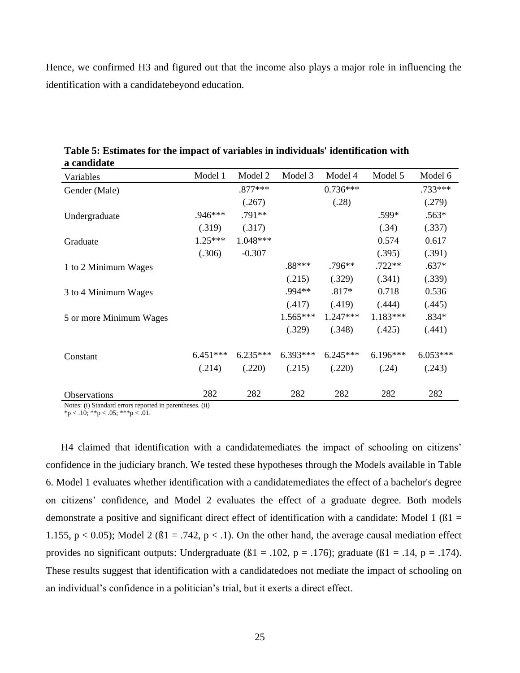Hence, we confirmed H3 and figured out that the income also plays a major role in influencing the identification with a candidatebeyond education.

| Variables               | Model 1    | Model 2    | Model 3    | Model 4    | Model 5    | Model 6    |
|-------------------------|------------|------------|------------|------------|------------|------------|
| Gender (Male)           |            | $.877***$  |            | $0.736***$ |            | .733***    |
|                         |            | (.267)     |            | (.28)      |            | (.279)     |
| Undergraduate           | $.946***$  | $.791**$   |            |            | .599*      | $.563*$    |
|                         | (.319)     | (.317)     |            |            | (.34)      | (.337)     |
| Graduate                | $1.25***$  | $1.048***$ |            |            | 0.574      | 0.617      |
|                         | (.306)     | $-0.307$   |            |            | (.395)     | (.391)     |
| 1 to 2 Minimum Wages    |            |            | .88***     | $.796**$   | $.722**$   | $.637*$    |
|                         |            |            | (.215)     | (.329)     | (.341)     | (.339)     |
| 3 to 4 Minimum Wages    |            |            | .994**     | $.817*$    | 0.718      | 0.536      |
|                         |            |            | (.417)     | (.419)     | (.444)     | (.445)     |
| 5 or more Minimum Wages |            |            | $1.565***$ | $1.247***$ | 1.183***   | $.834*$    |
|                         |            |            | (.329)     | (.348)     | (.425)     | (.441)     |
| Constant                | $6.451***$ | $6.235***$ | $6.393***$ | $6.245***$ | $6.196***$ | $6.053***$ |
|                         | (.214)     | (.220)     | (.215)     | (.220)     | (.24)      | (.243)     |
| Observations            | 282        | 282        | 282        | 282        | 282        | 282        |

<span id="page-33-0"></span>**Table 5: Estimates for the impact of variables in individuals' identification with a candidate**

Notes: (i) Standard errors reported in parentheses. (ii) \*p < .10; \*\*p < .05; \*\*\*p < .01.

H4 claimed that identification with a candidatemediates the impact of schooling on citizens' confidence in the judiciary branch. We tested these hypotheses through the Models available in Table 6. Model 1 evaluates whether identification with a candidatemediates the effect of a bachelor's degree on citizens' confidence, and Model 2 evaluates the effect of a graduate degree. Both models demonstrate a positive and significant direct effect of identification with a candidate: Model 1 ( $\beta$ 1 = 1.155,  $p < 0.05$ ); Model 2 ( $\beta$ 1 = .742,  $p < 0.1$ ). On the other hand, the average causal mediation effect provides no significant outputs: Undergraduate ( $\beta$ 1 = .102, p = .176); graduate ( $\beta$ 1 = .14, p = .174). These results suggest that identification with a candidatedoes not mediate the impact of schooling on an individual's confidence in a politician's trial, but it exerts a direct effect.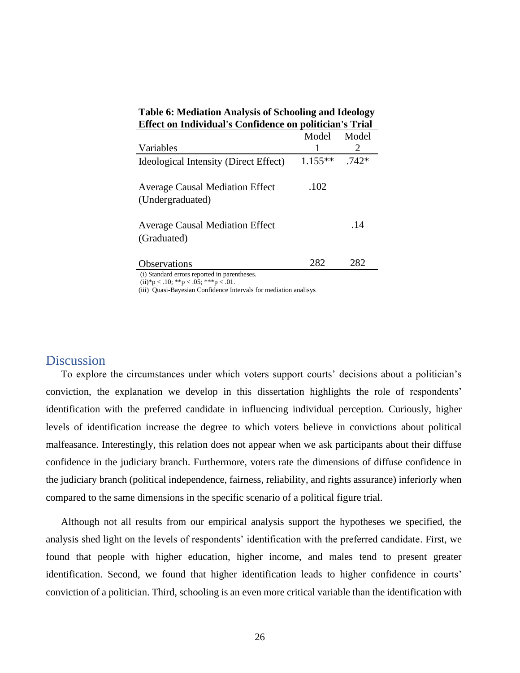| Effect on Individual's Confidence on politician's Trial    |           |                       |  |  |  |  |
|------------------------------------------------------------|-----------|-----------------------|--|--|--|--|
|                                                            | Model     | Model                 |  |  |  |  |
| Variables                                                  |           | $\mathcal{D}_{\cdot}$ |  |  |  |  |
| Ideological Intensity (Direct Effect)                      | $1.155**$ | $.742*$               |  |  |  |  |
| <b>Average Causal Mediation Effect</b><br>(Undergraduated) | .102      |                       |  |  |  |  |
| <b>Average Causal Mediation Effect</b><br>(Graduated)      |           | .14                   |  |  |  |  |
| <b>Observations</b>                                        | 282       | 282                   |  |  |  |  |
| (i) Standard errors reported in parentheses                |           |                       |  |  |  |  |

<span id="page-34-1"></span>**Table 6: Mediation Analysis of Schooling and Ideology Effect on Individual's Confidence on politician's Trial**

(i) Standard errors reported in parentheses.

 $(ii)*p < .10; **p < .05; **p < .01.$ 

(iii) Quasi-Bayesian Confidence Intervals for mediation analisys

## <span id="page-34-0"></span>**Discussion**

To explore the circumstances under which voters support courts' decisions about a politician's conviction, the explanation we develop in this dissertation highlights the role of respondents' identification with the preferred candidate in influencing individual perception. Curiously, higher levels of identification increase the degree to which voters believe in convictions about political malfeasance. Interestingly, this relation does not appear when we ask participants about their diffuse confidence in the judiciary branch. Furthermore, voters rate the dimensions of diffuse confidence in the judiciary branch (political independence, fairness, reliability, and rights assurance) inferiorly when compared to the same dimensions in the specific scenario of a political figure trial.

Although not all results from our empirical analysis support the hypotheses we specified, the analysis shed light on the levels of respondents' identification with the preferred candidate. First, we found that people with higher education, higher income, and males tend to present greater identification. Second, we found that higher identification leads to higher confidence in courts' conviction of a politician. Third, schooling is an even more critical variable than the identification with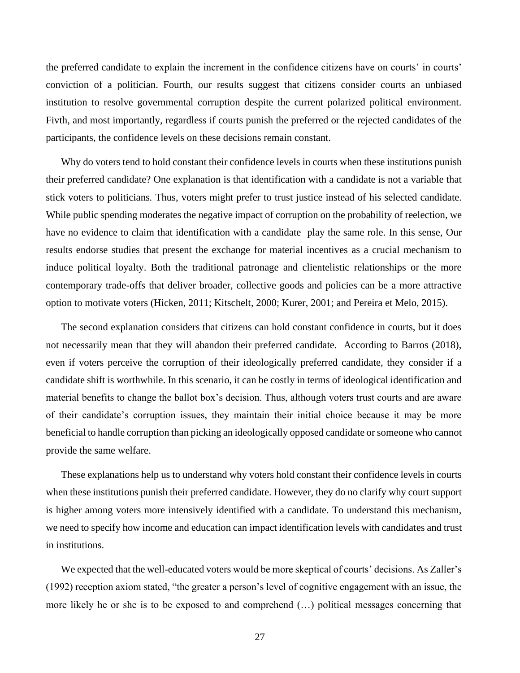the preferred candidate to explain the increment in the confidence citizens have on courts' in courts' conviction of a politician. Fourth, our results suggest that citizens consider courts an unbiased institution to resolve governmental corruption despite the current polarized political environment. Fivth, and most importantly, regardless if courts punish the preferred or the rejected candidates of the participants, the confidence levels on these decisions remain constant.

Why do voters tend to hold constant their confidence levels in courts when these institutions punish their preferred candidate? One explanation is that identification with a candidate is not a variable that stick voters to politicians. Thus, voters might prefer to trust justice instead of his selected candidate. While public spending moderates the negative impact of corruption on the probability of reelection, we have no evidence to claim that identification with a candidate play the same role. In this sense, Our results endorse studies that present the exchange for material incentives as a crucial mechanism to induce political loyalty. Both the traditional patronage and clientelistic relationships or the more contemporary trade-offs that deliver broader, collective goods and policies can be a more attractive option to motivate voters (Hicken, 2011; Kitschelt, 2000; Kurer, 2001; and Pereira et Melo, 2015).

The second explanation considers that citizens can hold constant confidence in courts, but it does not necessarily mean that they will abandon their preferred candidate. According to Barros (2018), even if voters perceive the corruption of their ideologically preferred candidate, they consider if a candidate shift is worthwhile. In this scenario, it can be costly in terms of ideological identification and material benefits to change the ballot box's decision. Thus, although voters trust courts and are aware of their candidate's corruption issues, they maintain their initial choice because it may be more beneficial to handle corruption than picking an ideologically opposed candidate or someone who cannot provide the same welfare.

These explanations help us to understand why voters hold constant their confidence levels in courts when these institutions punish their preferred candidate. However, they do no clarify why court support is higher among voters more intensively identified with a candidate. To understand this mechanism, we need to specify how income and education can impact identification levels with candidates and trust in institutions.

We expected that the well-educated voters would be more skeptical of courts' decisions. As Zaller's (1992) reception axiom stated, "the greater a person's level of cognitive engagement with an issue, the more likely he or she is to be exposed to and comprehend (…) political messages concerning that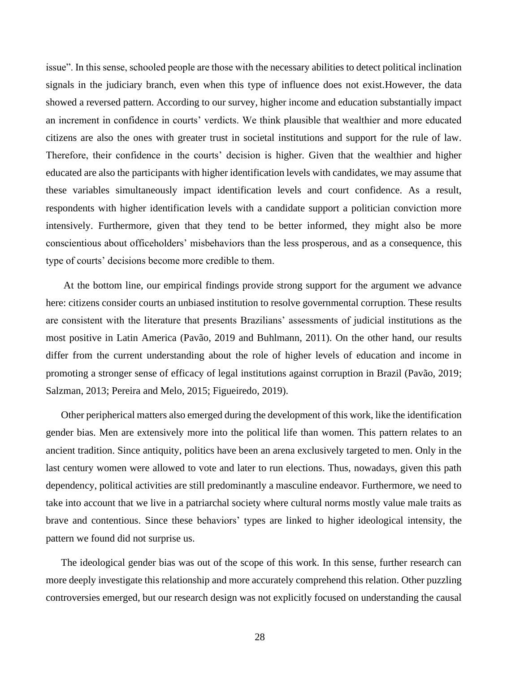issue". In this sense, schooled people are those with the necessary abilities to detect political inclination signals in the judiciary branch, even when this type of influence does not exist.However, the data showed a reversed pattern. According to our survey, higher income and education substantially impact an increment in confidence in courts' verdicts. We think plausible that wealthier and more educated citizens are also the ones with greater trust in societal institutions and support for the rule of law. Therefore, their confidence in the courts' decision is higher. Given that the wealthier and higher educated are also the participants with higher identification levels with candidates, we may assume that these variables simultaneously impact identification levels and court confidence. As a result, respondents with higher identification levels with a candidate support a politician conviction more intensively. Furthermore, given that they tend to be better informed, they might also be more conscientious about officeholders' misbehaviors than the less prosperous, and as a consequence, this type of courts' decisions become more credible to them.

At the bottom line, our empirical findings provide strong support for the argument we advance here: citizens consider courts an unbiased institution to resolve governmental corruption. These results are consistent with the literature that presents Brazilians' assessments of judicial institutions as the most positive in Latin America (Pavão, 2019 and Buhlmann, 2011). On the other hand, our results differ from the current understanding about the role of higher levels of education and income in promoting a stronger sense of efficacy of legal institutions against corruption in Brazil (Pavão, 2019; Salzman, 2013; Pereira and Melo, 2015; Figueiredo, 2019).

Other peripherical matters also emerged during the development of this work, like the identification gender bias. Men are extensively more into the political life than women. This pattern relates to an ancient tradition. Since antiquity, politics have been an arena exclusively targeted to men. Only in the last century women were allowed to vote and later to run elections. Thus, nowadays, given this path dependency, political activities are still predominantly a masculine endeavor. Furthermore, we need to take into account that we live in a patriarchal society where cultural norms mostly value male traits as brave and contentious. Since these behaviors' types are linked to higher ideological intensity, the pattern we found did not surprise us.

The ideological gender bias was out of the scope of this work. In this sense, further research can more deeply investigate this relationship and more accurately comprehend this relation. Other puzzling controversies emerged, but our research design was not explicitly focused on understanding the causal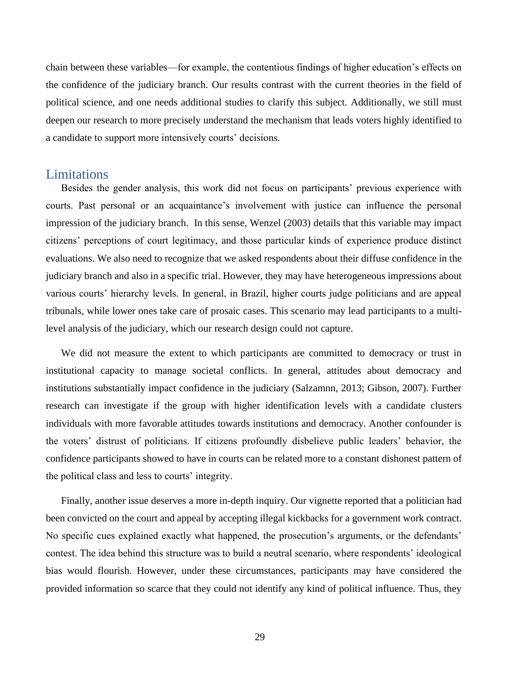chain between these variables—for example, the contentious findings of higher education's effects on the confidence of the judiciary branch. Our results contrast with the current theories in the field of political science, and one needs additional studies to clarify this subject. Additionally, we still must deepen our research to more precisely understand the mechanism that leads voters highly identified to a candidate to support more intensively courts' decisions.

### <span id="page-37-0"></span>Limitations

Besides the gender analysis, this work did not focus on participants' previous experience with courts. Past personal or an acquaintance's involvement with justice can influence the personal impression of the judiciary branch. In this sense, Wenzel (2003) details that this variable may impact citizens' perceptions of court legitimacy, and those particular kinds of experience produce distinct evaluations. We also need to recognize that we asked respondents about their diffuse confidence in the judiciary branch and also in a specific trial. However, they may have heterogeneous impressions about various courts' hierarchy levels. In general, in Brazil, higher courts judge politicians and are appeal tribunals, while lower ones take care of prosaic cases. This scenario may lead participants to a multilevel analysis of the judiciary, which our research design could not capture.

We did not measure the extent to which participants are committed to democracy or trust in institutional capacity to manage societal conflicts. In general, attitudes about democracy and institutions substantially impact confidence in the judiciary (Salzamnn, 2013; Gibson, 2007). Further research can investigate if the group with higher identification levels with a candidate clusters individuals with more favorable attitudes towards institutions and democracy. Another confounder is the voters' distrust of politicians. If citizens profoundly disbelieve public leaders' behavior, the confidence participants showed to have in courts can be related more to a constant dishonest pattern of the political class and less to courts' integrity.

Finally, another issue deserves a more in-depth inquiry. Our vignette reported that a politician had been convicted on the court and appeal by accepting illegal kickbacks for a government work contract. No specific cues explained exactly what happened, the prosecution's arguments, or the defendants' contest. The idea behind this structure was to build a neutral scenario, where respondents' ideological bias would flourish. However, under these circumstances, participants may have considered the provided information so scarce that they could not identify any kind of political influence. Thus, they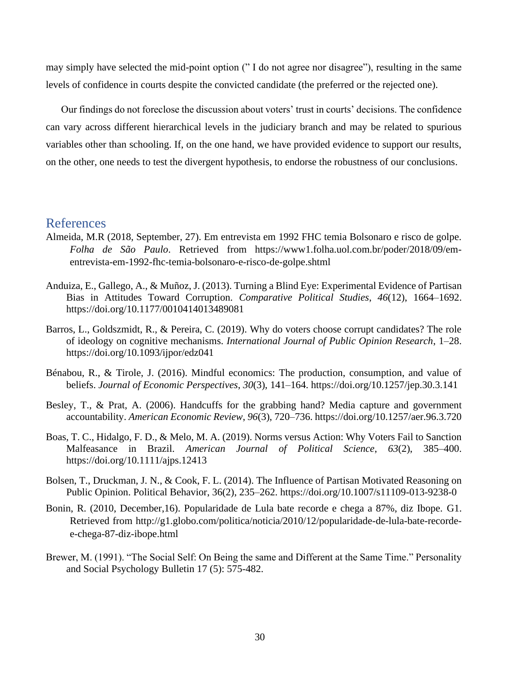may simply have selected the mid-point option (" I do not agree nor disagree"), resulting in the same levels of confidence in courts despite the convicted candidate (the preferred or the rejected one).

Our findings do not foreclose the discussion about voters' trust in courts' decisions. The confidence can vary across different hierarchical levels in the judiciary branch and may be related to spurious variables other than schooling. If, on the one hand, we have provided evidence to support our results, on the other, one needs to test the divergent hypothesis, to endorse the robustness of our conclusions.

### <span id="page-38-0"></span>References

- Almeida, M.R (2018, September, 27). Em entrevista em 1992 FHC temia Bolsonaro e risco de golpe. *Folha de São Paulo*. Retrieved from https://www1.folha.uol.com.br/poder/2018/09/ementrevista-em-1992-fhc-temia-bolsonaro-e-risco-de-golpe.shtml
- Anduiza, E., Gallego, A., & Muñoz, J. (2013). Turning a Blind Eye: Experimental Evidence of Partisan Bias in Attitudes Toward Corruption. *Comparative Political Studies*, *46*(12), 1664–1692. https://doi.org/10.1177/0010414013489081
- Barros, L., Goldszmidt, R., & Pereira, C. (2019). Why do voters choose corrupt candidates? The role of ideology on cognitive mechanisms. *International Journal of Public Opinion Research*, 1–28. https://doi.org/10.1093/ijpor/edz041
- Bénabou, R., & Tirole, J. (2016). Mindful economics: The production, consumption, and value of beliefs. *Journal of Economic Perspectives*, *30*(3), 141–164. https://doi.org/10.1257/jep.30.3.141
- Besley, T., & Prat, A. (2006). Handcuffs for the grabbing hand? Media capture and government accountability. *American Economic Review*, *96*(3), 720–736. https://doi.org/10.1257/aer.96.3.720
- Boas, T. C., Hidalgo, F. D., & Melo, M. A. (2019). Norms versus Action: Why Voters Fail to Sanction Malfeasance in Brazil. *American Journal of Political Science*, *63*(2), 385–400. https://doi.org/10.1111/ajps.12413
- Bolsen, T., Druckman, J. N., & Cook, F. L. (2014). The Influence of Partisan Motivated Reasoning on Public Opinion. Political Behavior, 36(2), 235–262. https://doi.org/10.1007/s11109-013-9238-0
- Bonin, R. (2010, December,16). Popularidade de Lula bate recorde e chega a 87%, diz Ibope. G1. Retrieved from [http://g1.globo.com/politica/noticia/2010/12/popularidade-de-lula-bate-recorde](http://g1.globo.com/politica/noticia/2010/12/popularidade-de-lula-bate-recorde-e-chega-87-diz-ibope.html)[e-chega-87-diz-ibope.html](http://g1.globo.com/politica/noticia/2010/12/popularidade-de-lula-bate-recorde-e-chega-87-diz-ibope.html)
- Brewer, M. (1991). "The Social Self: On Being the same and Different at the Same Time." Personality and Social Psychology Bulletin 17 (5): 575-482.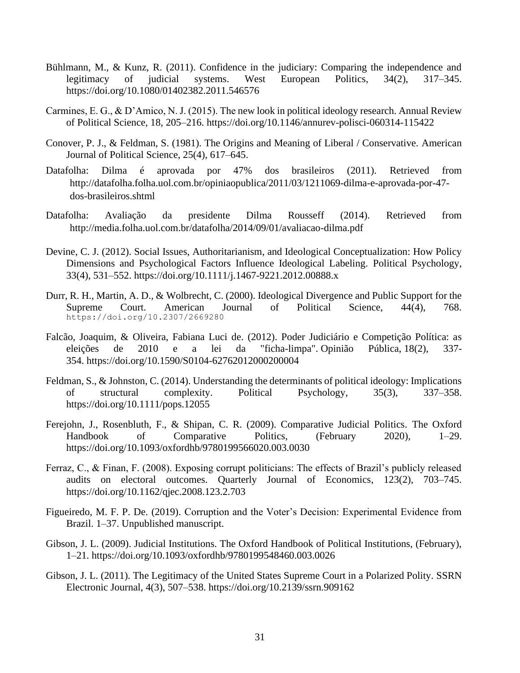- Bühlmann, M., & Kunz, R. (2011). Confidence in the judiciary: Comparing the independence and legitimacy of judicial systems. West European Politics, 34(2), 317–345. https://doi.org/10.1080/01402382.2011.546576
- Carmines, E. G., & D'Amico, N. J. (2015). The new look in political ideology research. Annual Review of Political Science, 18, 205–216. https://doi.org/10.1146/annurev-polisci-060314-115422
- Conover, P. J., & Feldman, S. (1981). The Origins and Meaning of Liberal / Conservative. American Journal of Political Science, 25(4), 617–645.
- Datafolha: Dilma é aprovada por 47% dos brasileiros (2011). Retrieved from http://datafolha.folha.uol.com.br/opiniaopublica/2011/03/1211069-dilma-e-aprovada-por-47 dos-brasileiros.shtml
- Datafolha: Avaliação da presidente Dilma Rousseff (2014). Retrieved from <http://media.folha.uol.com.br/datafolha/2014/09/01/avaliacao-dilma.pdf>
- Devine, C. J. (2012). Social Issues, Authoritarianism, and Ideological Conceptualization: How Policy Dimensions and Psychological Factors Influence Ideological Labeling. Political Psychology, 33(4), 531–552. https://doi.org/10.1111/j.1467-9221.2012.00888.x
- Durr, R. H., Martin, A. D., & Wolbrecht, C. (2000). Ideological Divergence and Public Support for the Supreme Court. American Journal of Political Science, 44(4), 768. https://doi.org/10.2307/2669280
- Falcão, Joaquim, & Oliveira, Fabiana Luci de. (2012). Poder Judiciário e Competição Política: as eleições de 2010 e a lei da "ficha-limpa". Opinião Pública, 18(2), 337- 354. <https://doi.org/10.1590/S0104-62762012000200004>
- Feldman, S., & Johnston, C. (2014). Understanding the determinants of political ideology: Implications of structural complexity. Political Psychology, 35(3), 337–358. https://doi.org/10.1111/pops.12055
- Ferejohn, J., Rosenbluth, F., & Shipan, C. R. (2009). Comparative Judicial Politics. The Oxford Handbook of Comparative Politics, (February 2020), 1–29. https://doi.org/10.1093/oxfordhb/9780199566020.003.0030
- Ferraz, C., & Finan, F. (2008). Exposing corrupt politicians: The effects of Brazil's publicly released audits on electoral outcomes. Quarterly Journal of Economics, 123(2), 703–745. https://doi.org/10.1162/qjec.2008.123.2.703
- Figueiredo, M. F. P. De. (2019). Corruption and the Voter's Decision: Experimental Evidence from Brazil. 1–37. Unpublished manuscript.
- Gibson, J. L. (2009). Judicial Institutions. The Oxford Handbook of Political Institutions, (February), 1–21. https://doi.org/10.1093/oxfordhb/9780199548460.003.0026
- Gibson, J. L. (2011). The Legitimacy of the United States Supreme Court in a Polarized Polity. SSRN Electronic Journal, 4(3), 507–538. https://doi.org/10.2139/ssrn.909162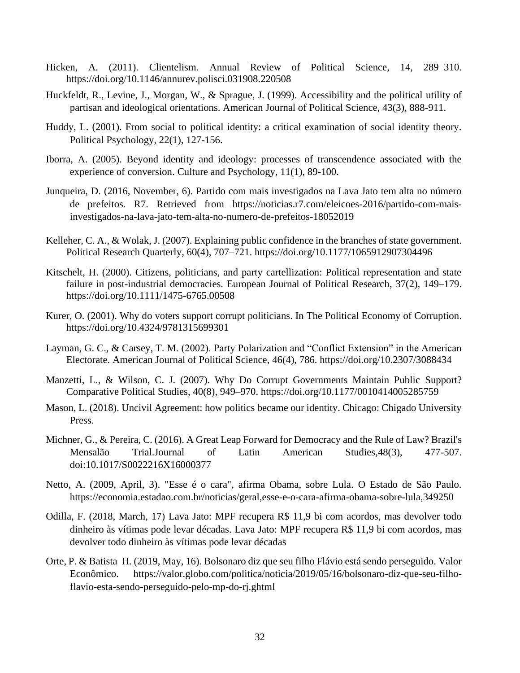- Hicken, A. (2011). Clientelism. Annual Review of Political Science, 14, 289–310. https://doi.org/10.1146/annurev.polisci.031908.220508
- Huckfeldt, R., Levine, J., Morgan, W., & Sprague, J. (1999). Accessibility and the political utility of partisan and ideological orientations. American Journal of Political Science, 43(3), 888-911.
- Huddy, L. (2001). From social to political identity: a critical examination of social identity theory. Political Psychology, 22(1), 127-156.
- Iborra, A. (2005). Beyond identity and ideology: processes of transcendence associated with the experience of conversion. Culture and Psychology, 11(1), 89-100.
- Junqueira, D. (2016, November, 6). Partido com mais investigados na Lava Jato tem alta no número de prefeitos. R7. Retrieved from [https://noticias.r7.com/eleicoes-2016/partido-com-mais](https://noticias.r7.com/eleicoes-2016/partido-com-mais-investigados-na-lava-jato-tem-alta-no-numero-de-prefeitos-18052019)[investigados-na-lava-jato-tem-alta-no-numero-de-prefeitos-18052019](https://noticias.r7.com/eleicoes-2016/partido-com-mais-investigados-na-lava-jato-tem-alta-no-numero-de-prefeitos-18052019)
- Kelleher, C. A., & Wolak, J. (2007). Explaining public confidence in the branches of state government. Political Research Quarterly, 60(4), 707–721. https://doi.org/10.1177/1065912907304496
- Kitschelt, H. (2000). Citizens, politicians, and party cartellization: Political representation and state failure in post-industrial democracies. European Journal of Political Research, 37(2), 149–179. https://doi.org/10.1111/1475-6765.00508
- Kurer, O. (2001). Why do voters support corrupt politicians. In The Political Economy of Corruption. https://doi.org/10.4324/9781315699301
- Layman, G. C., & Carsey, T. M. (2002). Party Polarization and "Conflict Extension" in the American Electorate. American Journal of Political Science, 46(4), 786. https://doi.org/10.2307/3088434
- Manzetti, L., & Wilson, C. J. (2007). Why Do Corrupt Governments Maintain Public Support? Comparative Political Studies, 40(8), 949–970. https://doi.org/10.1177/0010414005285759
- Mason, L. (2018). Uncivil Agreement: how politics became our identity. Chicago: Chigado University Press.
- Michner, G., & Pereira, C. (2016). A Great Leap Forward for Democracy and the Rule of Law? Brazil's Mensalão Trial.Journal of Latin American Studies,48(3), 477-507. doi:10.1017/S0022216X16000377
- Netto, A. (2009, April, 3). "Esse é o cara", afirma Obama, sobre Lula. O Estado de São Paulo. [https://economia.estadao.com.br/noticias/geral,esse-e-o-cara-afirma-obama-sobre-lula,349250](https://economia.estadao.com.br/noticias/geralesse-e-o-cara-afirma-obama-sobre-lula349250)
- Odilla, F. (2018, March, 17) Lava Jato: MPF recupera R\$ 11,9 bi com acordos, mas devolver todo dinheiro às vítimas pode levar décadas. Lava Jato: MPF recupera R\$ 11,9 bi com acordos, mas devolver todo dinheiro às vítimas pode levar décadas
- Orte, P. & Batista H. (2019, May, 16). Bolsonaro diz que seu filho Flávio está sendo perseguido. Valor Econômico. https://valor.globo.com/politica/noticia/2019/05/16/bolsonaro-diz-que-seu-filhoflavio-esta-sendo-perseguido-pelo-mp-do-rj.ghtml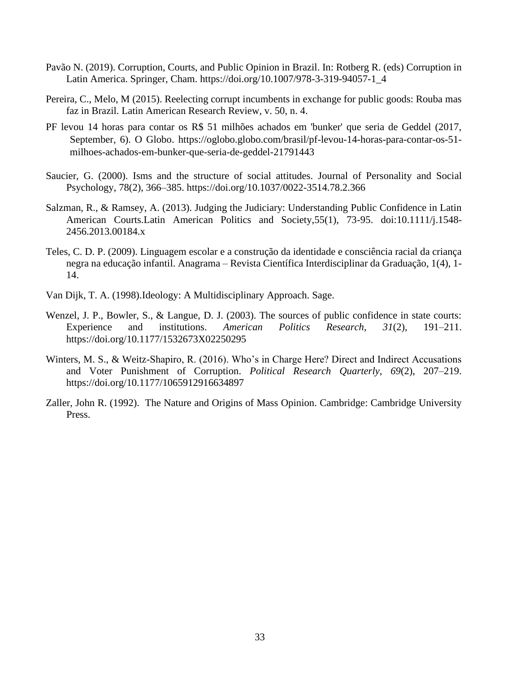- Pavão N. (2019). Corruption, Courts, and Public Opinion in Brazil. In: Rotberg R. (eds) Corruption in Latin America. Springer, Cham. https://doi.org/10.1007/978-3-319-94057-1\_4
- Pereira, C., Melo, M (2015). Reelecting corrupt incumbents in exchange for public goods: Rouba mas faz in Brazil. Latin American Research Review, v. 50, n. 4.
- PF levou 14 horas para contar os R\$ 51 milhões achados em 'bunker' que seria de Geddel (2017, September, 6). O Globo. [https://oglobo.globo.com/brasil/pf-levou-14-horas-para-contar-os-51](https://oglobo.globo.com/brasil/pf-levou-14-horas-para-contar-os-51-milhoes-achados-em-bunker-que-seria-de-geddel-21791443) [milhoes-achados-em-bunker-que-seria-de-geddel-21791443](https://oglobo.globo.com/brasil/pf-levou-14-horas-para-contar-os-51-milhoes-achados-em-bunker-que-seria-de-geddel-21791443)
- Saucier, G. (2000). Isms and the structure of social attitudes. Journal of Personality and Social Psychology, 78(2), 366–385. https://doi.org/10.1037/0022-3514.78.2.366
- Salzman, R., & Ramsey, A. (2013). Judging the Judiciary: Understanding Public Confidence in Latin American Courts.Latin American Politics and Society,55(1), 73-95. doi:10.1111/j.1548- 2456.2013.00184.x
- Teles, C. D. P. (2009). Linguagem escolar e a construção da identidade e consciência racial da criança negra na educação infantil. Anagrama – Revista Científica Interdisciplinar da Graduação, 1(4), 1- 14.
- Van Dijk, T. A. (1998).Ideology: A Multidisciplinary Approach. Sage.
- Wenzel, J. P., Bowler, S., & Langue, D. J. (2003). The sources of public confidence in state courts: Experience and institutions. *American Politics Research*, *31*(2), 191–211. https://doi.org/10.1177/1532673X02250295
- Winters, M. S., & Weitz-Shapiro, R. (2016). Who's in Charge Here? Direct and Indirect Accusations and Voter Punishment of Corruption. *Political Research Quarterly*, *69*(2), 207–219. https://doi.org/10.1177/1065912916634897
- Zaller, John R. (1992). The Nature and Origins of Mass Opinion. Cambridge: Cambridge University Press.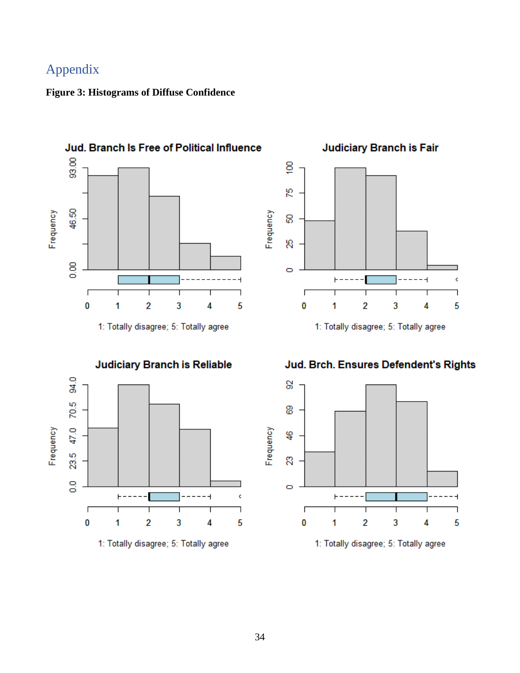# <span id="page-42-0"></span>Appendix

## <span id="page-42-1"></span>**Figure 3: Histograms of Diffuse Confidence**



1: Totally disagree; 5: Totally agree



1: Totally disagree; 5: Totally agree



1: Totally disagree; 5: Totally agree

Jud. Brch. Ensures Defendent's Rights



1: Totally disagree; 5: Totally agree